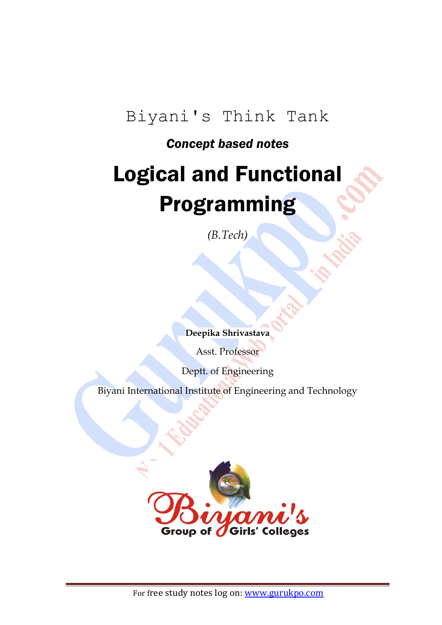## Biyani's Think Tank

## *Concept based notes*

# Logical and Functional Programming

*(B.Tech)*

**Deepika Shrivastava**

Asst. Professor

Deptt. of Engineering

Biyani International Institute of Engineering and Technology

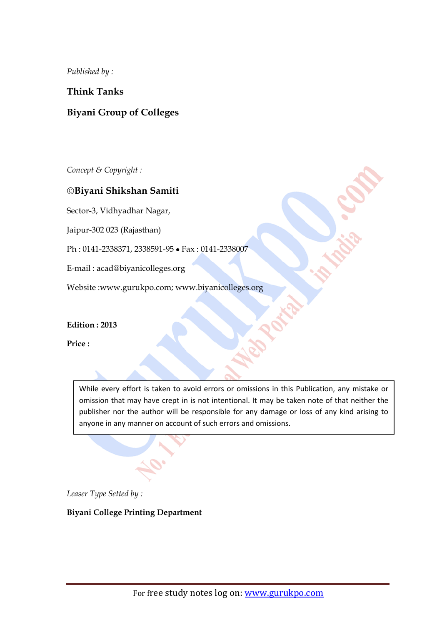*Published by :*

## **Think Tanks**

## **Biyani Group of Colleges**

*Concept & Copyright :*

#### **Biyani Shikshan Samiti**

Sector-3, Vidhyadhar Nagar,

Jaipur-302 023 (Rajasthan)

Ph: 0141-2338371, 2338591-95 • Fax: 0141-2338007

E-mail : acad@biyanicolleges.org

Website :www.gurukpo.com; www.biyanicolleges.org

#### **Edition : 2013**

**Price :**

While every effort is taken to avoid errors or omissions in this Publication, any mistake or omission that may have crept in is not intentional. It may be taken note of that neither the publisher nor the author will be responsible for any damage or loss of any kind arising to anyone in any manner on account of such errors and omissions.

*Leaser Type Setted by :*

**Biyani College Printing Department**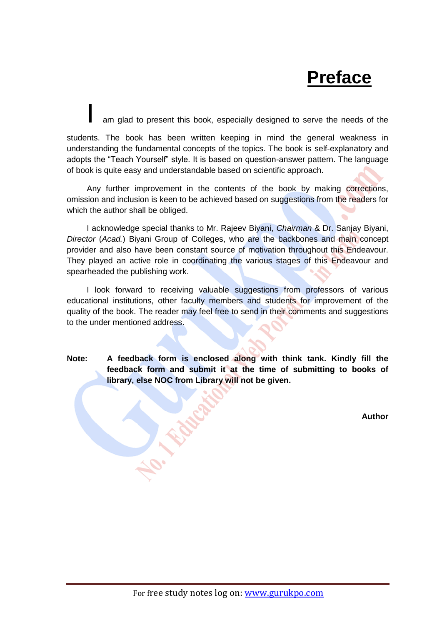# **Preface**

am glad to present this book, especially designed to serve the needs of the

students. The book has been written keeping in mind the general weakness in understanding the fundamental concepts of the topics. The book is self-explanatory and adopts the "Teach Yourself" style. It is based on question-answer pattern. The language of book is quite easy and understandable based on scientific approach.

Any further improvement in the contents of the book by making corrections, omission and inclusion is keen to be achieved based on suggestions from the readers for which the author shall be obliged.

I acknowledge special thanks to Mr. Rajeev Biyani, *Chairman* & Dr. Sanjay Biyani, *Director* (*Acad.*) Biyani Group of Colleges, who are the backbones and main concept provider and also have been constant source of motivation throughout this Endeavour. They played an active role in coordinating the various stages of this Endeavour and spearheaded the publishing work.

I look forward to receiving valuable suggestions from professors of various educational institutions, other faculty members and students for improvement of the quality of the book. The reader may feel free to send in their comments and suggestions to the under mentioned address.

**Note: A feedback form is enclosed along with think tank. Kindly fill the feedback form and submit it at the time of submitting to books of library, else NOC from Library will not be given.**

**Author**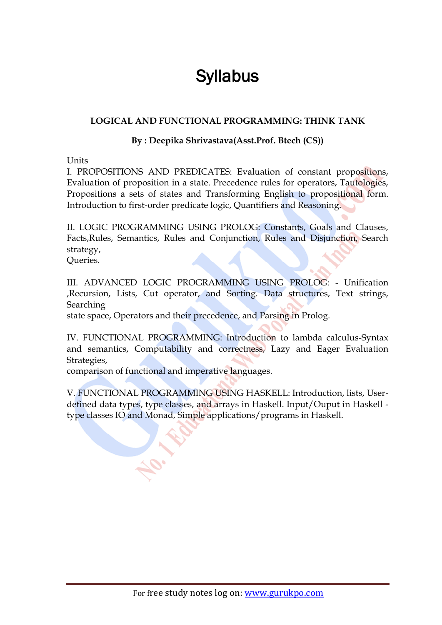# **Syllabus**

## **LOGICAL AND FUNCTIONAL PROGRAMMING: THINK TANK**

## **By : Deepika Shrivastava(Asst.Prof. Btech (CS))**

**Units** 

I. PROPOSITIONS AND PREDICATES: Evaluation of constant propositions, Evaluation of proposition in a state. Precedence rules for operators, Tautologies, Propositions a sets of states and Transforming English to propositional form. Introduction to first-order predicate logic, Quantifiers and Reasoning.

II. LOGIC PROGRAMMING USING PROLOG: Constants, Goals and Clauses, Facts,Rules, Semantics, Rules and Conjunction, Rules and Disjunction, Search strategy,

Queries.

III. ADVANCED LOGIC PROGRAMMING USING PROLOG: - Unification ,Recursion, Lists, Cut operator, and Sorting. Data structures, Text strings, **Searching** 

state space, Operators and their precedence, and Parsing in Prolog.

IV. FUNCTIONAL PROGRAMMING: Introduction to lambda calculus-Syntax and semantics, Computability and correctness, Lazy and Eager Evaluation Strategies,

comparison of functional and imperative languages.

V. FUNCTIONAL PROGRAMMING USING HASKELL: Introduction, lists, Userdefined data types, type classes, and arrays in Haskell. Input/Ouput in Haskell type classes IO and Monad, Simple applications/programs in Haskell.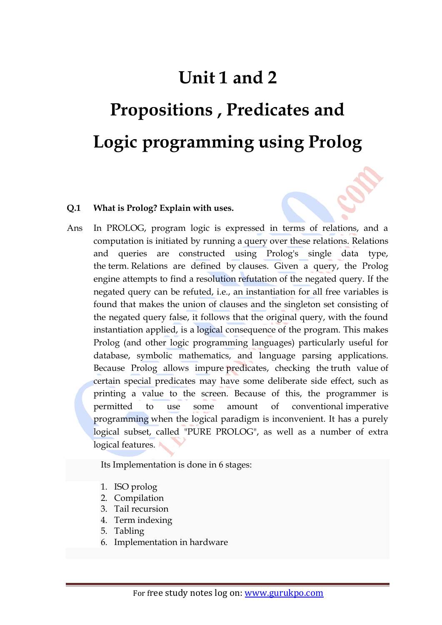## **Unit 1 and 2**

# **Propositions , Predicates and Logic programming using Prolog**

#### **Q.1 What is Prolog? Explain with uses.**

Ans In PROLOG, program logic is expressed in terms of relations, and a computation is initiated by running a query over these relations. Relations and queries are constructed using Prolog's single data type, the term. Relations are defined by clauses. Given a query, the Prolog engine attempts to find a [resolution](http://en.wikipedia.org/wiki/Resolution_(logic)) [refutation](http://en.wikipedia.org/wiki/Refutation) of the negated query. If the negated query can be refuted, i.e., an instantiation for all free variables is found that makes the union of clauses and the singleton set consisting of the negated query false, it follows that the original query, with the found instantiation applied, is a [logical consequence](http://en.wikipedia.org/wiki/Logical_consequence) of the program. This makes Prolog (and other logic programming languages) particularly useful for database, symbolic mathematics, and language parsing applications. Because Prolog allows impure [predicates,](http://en.wikipedia.org/wiki/Predicate_(mathematical_logic)) checking the [truth value](http://en.wikipedia.org/wiki/Truth_value) of certain special predicates may have some deliberate side effect, such as printing a value to the screen. Because of this, the programmer is permitted to use some amount of conventional [imperative](http://en.wikipedia.org/wiki/Imperative_programming)  [programming](http://en.wikipedia.org/wiki/Imperative_programming) when the logical paradigm is inconvenient. It has a purely logical subset, called "PURE PROLOG", as well as a number of extra logical features.

Its Implementation is done in 6 stages:

- 1. ISO prolog
- 2. Compilation
- 3. Tail recursion
- 4. Term indexing
- 5. Tabling
- 6. Implementation in hardware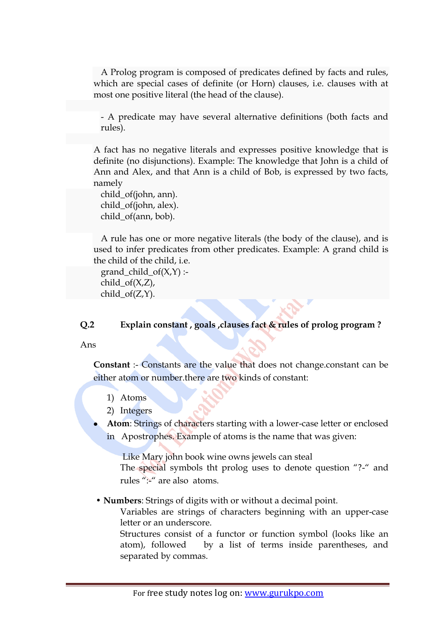A Prolog program is composed of predicates defined by facts and rules, which are special cases of definite (or Horn) clauses, i.e. clauses with at most one positive literal (the head of the clause).

- A predicate may have several alternative definitions (both facts and rules).

A fact has no negative literals and expresses positive knowledge that is definite (no disjunctions). Example: The knowledge that John is a child of Ann and Alex, and that Ann is a child of Bob, is expressed by two facts, namely

child\_of(john, ann). child\_of(john, alex). child\_of(ann, bob).

A rule has one or more negative literals (the body of the clause), and is used to infer predicates from other predicates. Example: A grand child is the child of the child, i.e.

grand child  $of(X,Y)$  :child  $of(X,Z)$ ,  $child_of(Z,Y)$ .

#### **Q.2 Explain constant , goals ,clauses fact & rules of prolog program ?**

Ans

**Constant** :- Constants are the value that does not change.constant can be either atom or number.there are two kinds of constant:

- 1) Atoms
- 2) Integers
- **Atom**: Strings of characters starting with a lower-case letter or enclosed in Apostrophes. Example of atoms is the name that was given:

Like Mary john book wine owns jewels can steal

The special symbols tht prolog uses to denote question "?-" and rules ":-" are also atoms.

• **Numbers**: Strings of digits with or without a decimal point.

Variables are strings of characters beginning with an upper-case letter or an underscore.

Structures consist of a functor or function symbol (looks like an atom), followed by a list of terms inside parentheses, and separated by commas.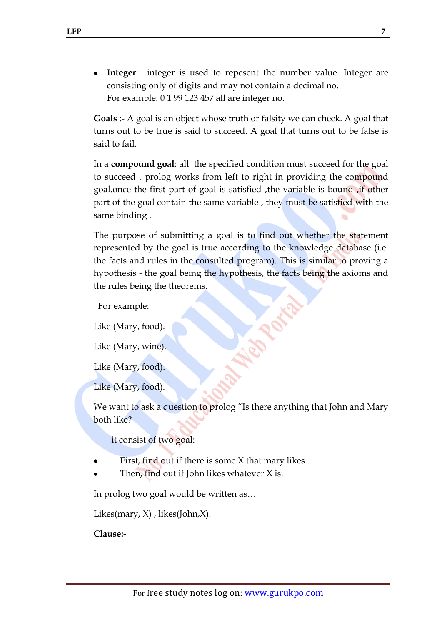**Integer**: integer is used to repesent the number value. Integer are consisting only of digits and may not contain a decimal no. For example: 0 1 99 123 457 all are integer no.

**Goals** :- A goal is an object whose truth or falsity we can check. A goal that turns out to be true is said to succeed. A goal that turns out to be false is said to fail.

In a **compound goal**: all the specified condition must succeed for the goal to succeed . prolog works from left to right in providing the compound goal.once the first part of goal is satisfied ,the variable is bound ,if other part of the goal contain the same variable , they must be satisfied with the same binding .

The purpose of submitting a goal is to find out whether the statement represented by the goal is true according to the knowledge database (i.e. the facts and rules in the consulted program). This is similar to proving a hypothesis - the goal being the hypothesis, the facts being the axioms and the rules being the theorems.

For example:

Like (Mary, food).

Like (Mary, wine).

Like (Mary, food).

Like (Mary, food).

We want to ask a question to prolog "Is there anything that John and Mary both like?

it consist of two goal:

- First, find out if there is some X that mary likes.
- Then, find out if John likes whatever  $X$  is.

In prolog two goal would be written as…

Likes(mary,  $X$ ), likes(John, $X$ ).

**Clause:-**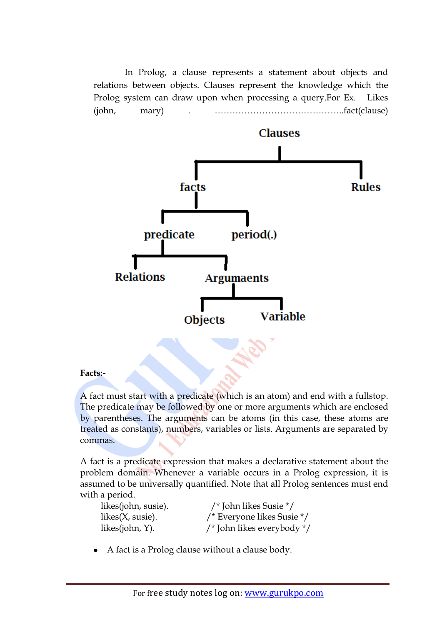In Prolog, a clause represents a statement about objects and relations between objects. Clauses represent the knowledge which the Prolog system can draw upon when processing a query.For Ex. Likes (john, mary) . ……………………………………..fact(clause)



#### **Facts:-**

A fact must start with a predicate (which is an atom) and end with a fullstop. The predicate may be followed by one or more arguments which are enclosed by parentheses. The arguments can be atoms (in this case, these atoms are treated as constants), numbers, variables or lists. Arguments are separated by commas.

A fact is a predicate expression that makes a declarative statement about the problem domain. Whenever a variable occurs in a Prolog expression, it is assumed to be universally quantified. Note that all Prolog sentences must end with a period.

| likes(john, susie).        |
|----------------------------|
| likes $(X, \text{susie}).$ |
| likes(john, Y).            |

/\* John likes Susie \*/ /\* Everyone likes Susie \*/ /\* John likes everybody \*/

A fact is a Prolog clause without a clause body.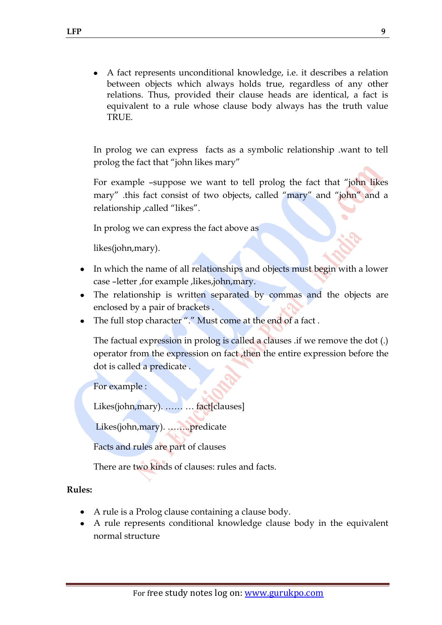A fact represents unconditional knowledge, i.e. it describes a relation between objects which always holds true, regardless of any other relations. Thus, provided their clause heads are identical, a fact is equivalent to a rule whose clause body always has the truth value TRUE.

In prolog we can express facts as a symbolic relationship .want to tell prolog the fact that "john likes mary"

For example –suppose we want to tell prolog the fact that "john likes mary" .this fact consist of two objects, called "mary" and "john" and a relationship ,called "likes".

In prolog we can express the fact above as

likes(john,mary).

- In which the name of all relationships and objects must begin with a lower case –letter ,for example ,likes,john,mary.
- The relationship is written separated by commas and the objects are enclosed by a pair of brackets .
- The full stop character "." Must come at the end of a fact .

The factual expression in prolog is called a clauses .if we remove the dot (.) operator from the expression on fact ,then the entire expression before the dot is called a predicate .

For example :

Likes(john,mary). …… … fact[clauses]

Likes(john,mary). ……..predicate

Facts and rules are part of clauses

There are two kinds of clauses: rules and facts.

#### **Rules:**

- A rule is a Prolog clause containing a clause body.
- A rule represents conditional knowledge clause body in the equivalent normal structure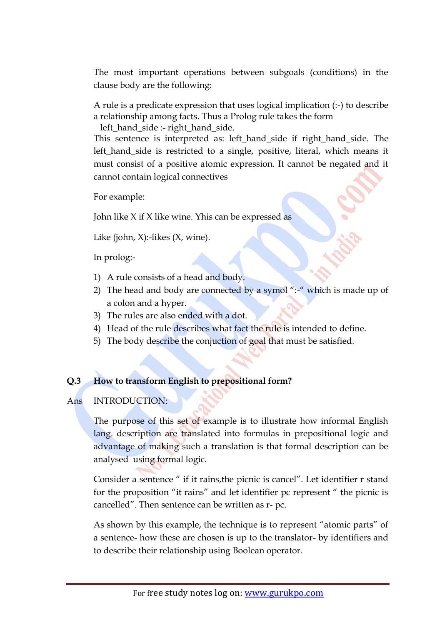The most important operations between subgoals (conditions) in the clause body are the following:

A rule is a predicate expression that uses logical implication (:-) to describe a relationship among facts. Thus a Prolog rule takes the form

left hand side :- right hand side.

This sentence is interpreted as: left\_hand\_side if right\_hand\_side. The left\_hand\_side is restricted to a single, positive, literal, which means it must consist of a positive atomic expression. It cannot be negated and it cannot contain logical connectives

For example:

John like X if X like wine. Yhis can be expressed as

Like (john,  $X$ ):-likes  $(X,$  wine).

In prolog:-

- 1) A rule consists of a head and body.
- 2) The head and body are connected by a symol " $:$ -" which is made up of a colon and a hyper.
- 3) The rules are also ended with a dot.
- 4) Head of the rule describes what fact the rule is intended to define.
- 5) The body describe the conjuction of goal that must be satisfied.

## **Q.3 How to transform English to prepositional form?**

## Ans INTRODUCTION:

The purpose of this set of example is to illustrate how informal English lang. description are translated into formulas in prepositional logic and advantage of making such a translation is that formal description can be analysed using formal logic.

Consider a sentence " if it rains,the picnic is cancel". Let identifier r stand for the proposition "it rains" and let identifier pc represent " the picnic is cancelled". Then sentence can be written as r- pc.

As shown by this example, the technique is to represent "atomic parts" of a sentence- how these are chosen is up to the translator- by identifiers and to describe their relationship using Boolean operator.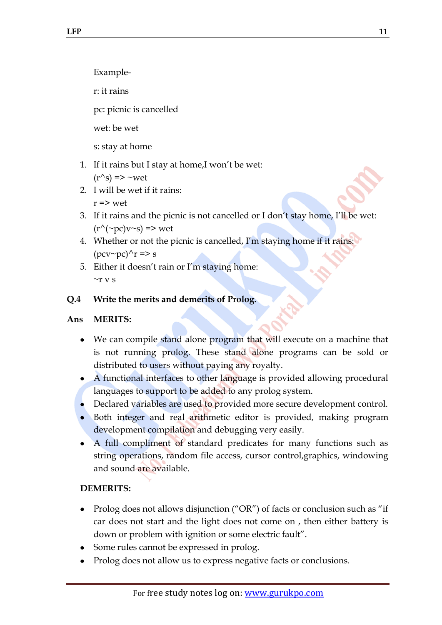Example-

r: it rains

pc: picnic is cancelled

wet: be wet

s: stay at home

- 1. If it rains but I stay at home,I won"t be wet:  $(r^s) \Rightarrow \neg wet$
- 2. I will be wet if it rains:  $r \Rightarrow$  wet
- 3. If it rains and the picnic is not cancelled or I don't stay home, I'll be wet:  $(r^{\wedge}(\sim pc)v\sim s) \Rightarrow$  wet
- 4. Whether or not the picnic is cancelled, I'm staying home if it rains:  $(\text{pcv~pc})^{\wedge}r \Rightarrow s$
- 5. Either it doesn't rain or I'm staying home:  $\sim r$  v s
- **Q.4 Write the merits and demerits of Prolog.**

## **Ans MERITS:**

- We can compile stand alone program that will execute on a machine that  $\bullet$ is not running prolog. These stand alone programs can be sold or distributed to users without paying any royalty.
- A functional interfaces to other language is provided allowing procedural languages to support to be added to any prolog system.
- Declared variables are used to provided more secure development control.
- Both integer and real arithmetic editor is provided, making program development compilation and debugging very easily.
- A full compliment of standard predicates for many functions such as string operations, random file access, cursor control,graphics, windowing and sound are available.

## **DEMERITS:**

- Prolog does not allows disjunction ("OR") of facts or conclusion such as "if car does not start and the light does not come on , then either battery is down or problem with ignition or some electric fault".
- Some rules cannot be expressed in prolog.
- Prolog does not allow us to express negative facts or conclusions.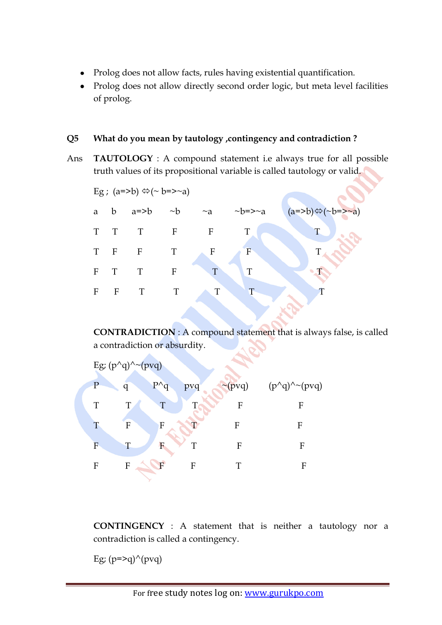- Prolog does not allow facts, rules having existential quantification.
- Prolog does not allow directly second order logic, but meta level facilities  $\bullet$ of prolog.

## **Q5 What do you mean by tautology ,contingency and contradiction ?**

Ans **TAUTOLOGY** : A compound statement i.e always true for all possible truth values of its propositional variable is called tautology or valid.



**CONTRADICTION** : A compound statement that is always false, is called a contradiction or absurdity.

|                | Eg; $(p^{\wedge}q)^{\wedge}$ (pvq) |                           |     |              |                                |
|----------------|------------------------------------|---------------------------|-----|--------------|--------------------------------|
| $\overline{P}$ | q                                  | $P^{\wedge}q$             | pvq | $\sim$ (pvq) | $(p^{\wedge}q)^{\wedge}$ (pvq) |
| T              | T                                  | T                         |     | F            | F                              |
| T              | F                                  | $\boldsymbol{\mathrm{F}}$ | т   | F            | F                              |
| F              | Т                                  | F                         | T   | F            | F                              |
| F              | F                                  | F                         | F   | T            | F                              |
|                |                                    |                           |     |              |                                |

**CONTINGENCY** : A statement that is neither a tautology nor a contradiction is called a contingency.

Eg;  $(p=>q)$ <sup> $\wedge$ </sup>(pvq)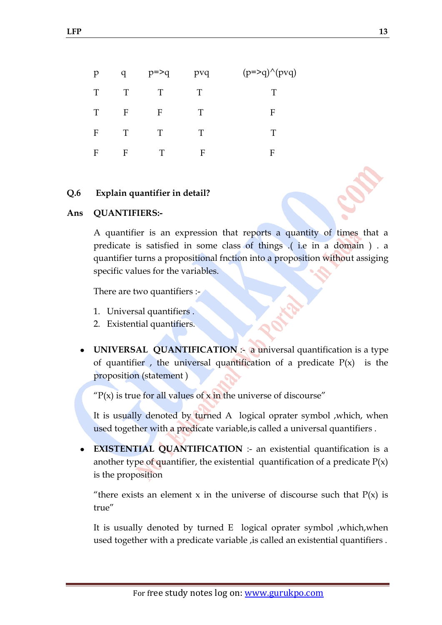| $\mathbf{p}$ | q            | $p = > q$ | pvq | $(p = >q)$ (pvq) |
|--------------|--------------|-----------|-----|------------------|
| T            | T            | T         | Т   | Т                |
| T            | F            | F         | Т   | F                |
| F            | $\mathbf{T}$ | T         | T   | T                |
| F            | F            | Т         | F   | F                |

### **Q.6 Explain quantifier in detail?**

### **Ans QUANTIFIERS:-**

A quantifier is an expression that reports a quantity of times that a predicate is satisfied in some class of things .( i.e in a domain ) . a quantifier turns a propositional fnction into a proposition without assiging specific values for the variables.

There are two quantifiers :-

- 1. Universal quantifiers .
- 2. Existential quantifiers.
- **UNIVERSAL QUANTIFICATION** :- a universal quantification is a type of quantifier, the universal quantification of a predicate  $P(x)$  is the proposition (statement )

 $P(x)$  is true for all values of x in the universe of discourse"

It is usually denoted by turned A logical oprater symbol ,which, when used together with a predicate variable,is called a universal quantifiers .

**EXISTENTIAL QUANTIFICATION** :- an existential quantification is a another type of quantifier, the existential quantification of a predicate  $P(x)$ is the proposition

"there exists an element x in the universe of discourse such that  $P(x)$  is true"

It is usually denoted by turned E logical oprater symbol ,which,when used together with a predicate variable ,is called an existential quantifiers .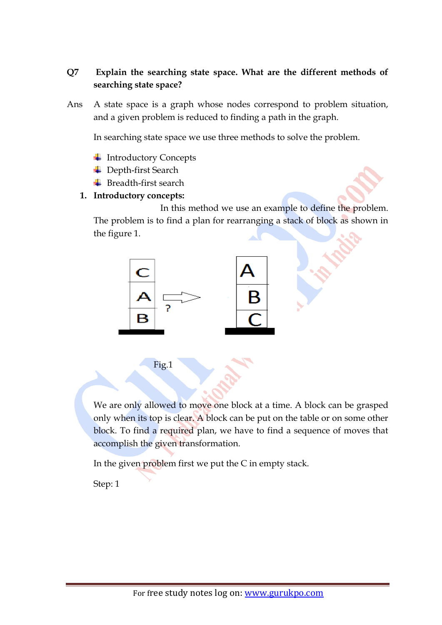## **Q7 Explain the searching state space. What are the different methods of searching state space?**

Ans A state space is a graph whose nodes correspond to problem situation, and a given problem is reduced to finding a path in the graph.

In searching state space we use three methods to solve the problem.

- **↓** Introductory Concepts
- **↓** Depth-first Search
- $\overline{\phantom{a}}$  Breadth-first search

### **1. Introductory concepts:**

 In this method we use an example to define the problem. The problem is to find a plan for rearranging a stack of block as shown in the figure 1.



Fig.1

We are only allowed to move one block at a time. A block can be grasped only when its top is clear. A block can be put on the table or on some other block. To find a required plan, we have to find a sequence of moves that accomplish the given transformation.

In the given problem first we put the C in empty stack.

Step: 1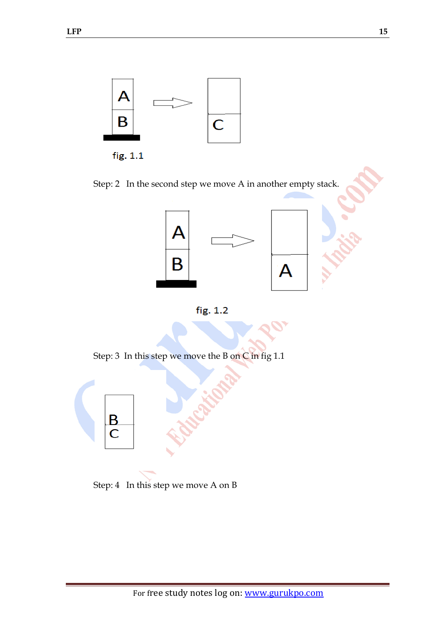

fig. 1.1

Step: 2 In the second step we move A in another empty stack.



 $fig. 1.2$ 

Step: 3 In this step we move the B on C in fig 1.1



Step: 4 In this step we move A on B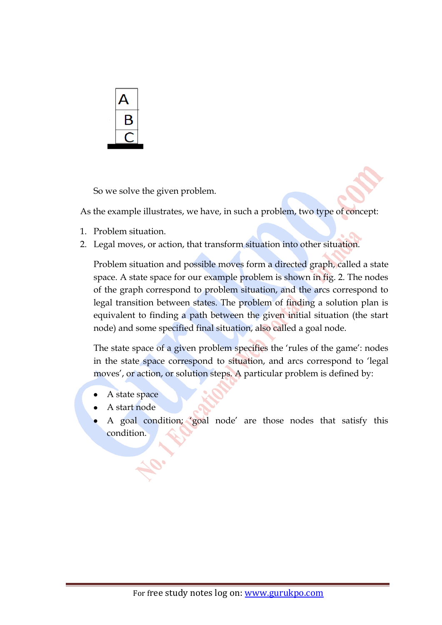

So we solve the given problem.

As the example illustrates, we have, in such a problem, two type of concept:

- 1. Problem situation.
- 2. Legal moves, or action, that transform situation into other situation.

Problem situation and possible moves form a directed graph, called a state space. A state space for our example problem is shown in fig. 2. The nodes of the graph correspond to problem situation, and the arcs correspond to legal transition between states. The problem of finding a solution plan is equivalent to finding a path between the given initial situation (the start node) and some specified final situation, also called a goal node.

The state space of a given problem specifies the 'rules of the game': nodes in the state space correspond to situation, and arcs correspond to "legal moves', or action, or solution steps. A particular problem is defined by:

- A state space
- A start node
- A goal condition; 'goal node' are those nodes that satisfy this condition.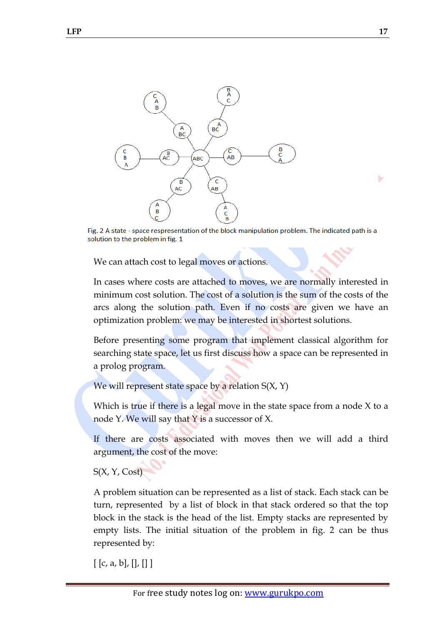

Fig. 2 A state - space respresentation of the block manipulation problem. The indicated path is a solution to the problem in fig. 1

We can attach cost to legal moves or actions.

In cases where costs are attached to moves, we are normally interested in minimum cost solution. The cost of a solution is the sum of the costs of the arcs along the solution path. Even if no costs are given we have an optimization problem: we may be interested in shortest solutions.

Before presenting some program that implement classical algorithm for searching state space, let us first discuss how a space can be represented in a prolog program.

We will represent state space by a relation  $S(X, Y)$ 

Which is true if there is a legal move in the state space from a node X to a node Y. We will say that Y is a successor of X.

If there are costs associated with moves then we will add a third argument, the cost of the move:

S(X, Y, Cost)

A problem situation can be represented as a list of stack. Each stack can be turn, represented by a list of block in that stack ordered so that the top block in the stack is the head of the list. Empty stacks are represented by empty lists. The initial situation of the problem in fig. 2 can be thus represented by:

 $[ [c, a, b], []$ 

D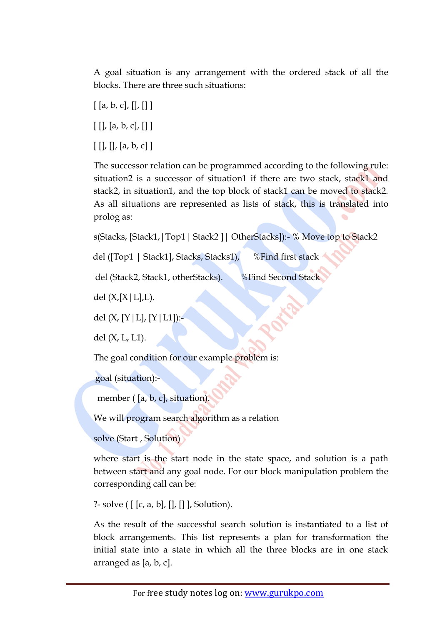A goal situation is any arrangement with the ordered stack of all the blocks. There are three such situations:

- $[ [a, b, c], [] , [] ]$  $[[]$ ,  $[a, b, c]$ ,  $[]$
- $[[], [[], [a, b, c]]$

The successor relation can be programmed according to the following rule: situation2 is a successor of situation1 if there are two stack, stack1 and stack2, in situation1, and the top block of stack1 can be moved to stack2. As all situations are represented as lists of stack, this is translated into prolog as:

s(Stacks, [Stack1,|Top1| Stack2 ]| OtherStacks]):- % Move top to Stack2

del ([Top1 | Stack1], Stacks, Stacks1), %Find first stack

del (Stack2, Stack1, otherStacks). %Find Second Stack

del  $(X,[X|L],L)$ .

del  $(X, [Y|L], [Y|L1])$ :-

del  $(X, L, L1)$ .

The goal condition for our example problem is:

goal (situation):-

member ( [a, b, c], situation).

We will program search algorithm as a relation

solve (Start , Solution)

where start is the start node in the state space, and solution is a path between start and any goal node. For our block manipulation problem the corresponding call can be:

?- solve  $([ [c, a, b], [] , [] ]$ , Solution).

As the result of the successful search solution is instantiated to a list of block arrangements. This list represents a plan for transformation the initial state into a state in which all the three blocks are in one stack arranged as [a, b, c].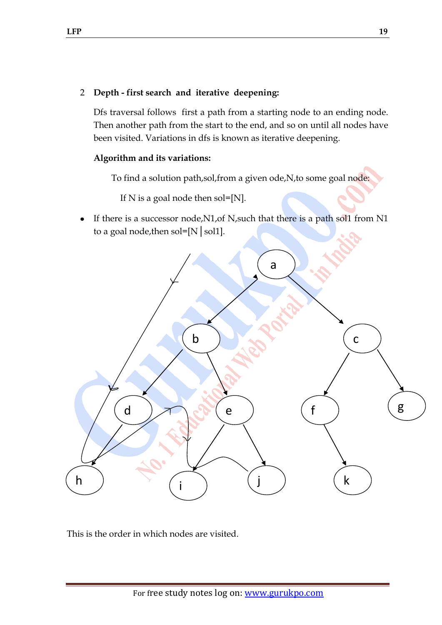## 2 **Depth - first search and iterative deepening:**

Dfs traversal follows first a path from a starting node to an ending node. Then another path from the start to the end, and so on until all nodes have been visited. Variations in dfs is known as iterative deepening.

## **Algorithm and its variations:**

To find a solution path,sol,from a given ode,N,to some goal node:

If N is a goal node then sol=[N].

If there is a successor node,N1,of N,such that there is a path sol1 from N1 to a goal node, then sol= $[N \mid sol1]$ .



This is the order in which nodes are visited.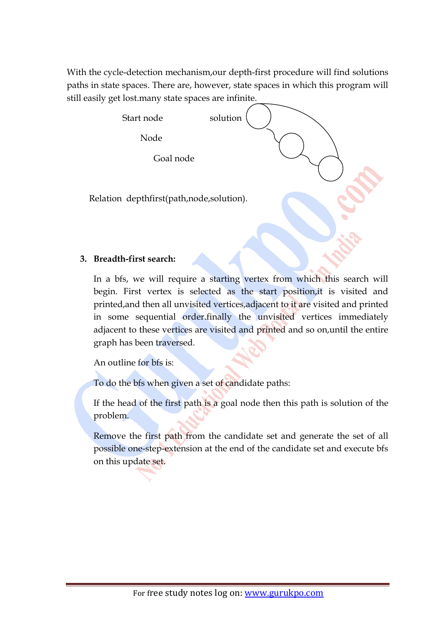With the cycle-detection mechanism,our depth-first procedure will find solutions paths in state spaces. There are, however, state spaces in which this program will still easily get lost.many state spaces are infinite.

Start node solution

Node

Goal node

Relation depthfirst(path,node,solution).

#### **3. Breadth-first search:**

In a bfs, we will require a starting vertex from which this search will begin. First vertex is selected as the start position,it is visited and printed,and then all unvisited vertices,adjacent to it are visited and printed in some sequential order.finally the unvisited vertices immediately adjacent to these vertices are visited and printed and so on,until the entire graph has been traversed.

An outline for bfs is:

To do the bfs when given a set of candidate paths:

If the head of the first path is a goal node then this path is solution of the problem.

Remove the first path from the candidate set and generate the set of all possible one-step-extension at the end of the candidate set and execute bfs on this update set.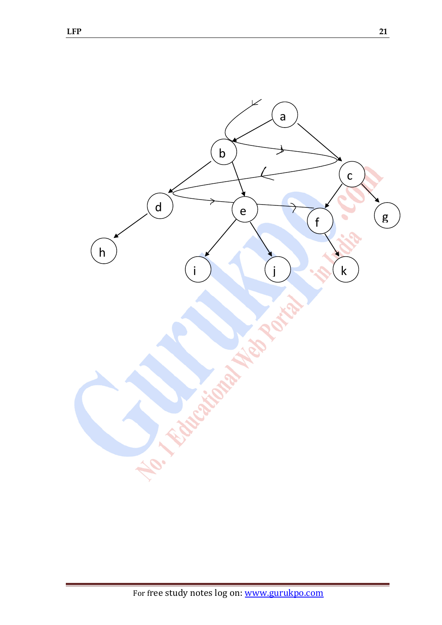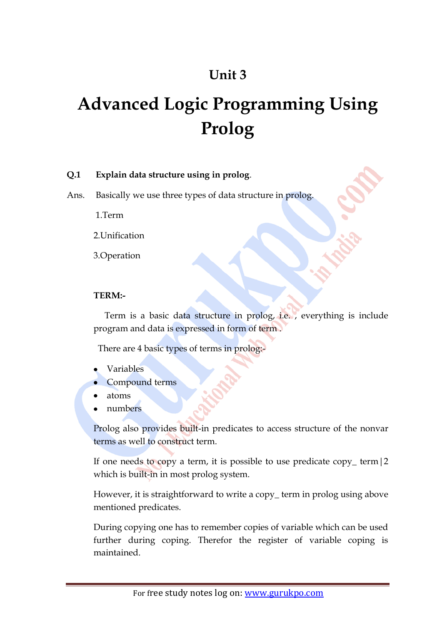## **Unit 3**

# **Advanced Logic Programming Using Prolog**

#### **Q.1 Explain data structure using in prolog**.

Ans. Basically we use three types of data structure in prolog.

1.Term

2.Unification

3.Operation

#### **TERM:-**

Term is a basic data structure in prolog, i.e. , everything is include program and data is expressed in form of term .

There are 4 basic types of terms in prolog:-

- Variables
- Compound terms
- atoms
- numbers

Prolog also provides built-in predicates to access structure of the nonvar terms as well to construct term.

If one needs to copy a term, it is possible to use predicate copy term  $|2 \rangle$ which is built-in in most prolog system.

However, it is straightforward to write a copy\_ term in prolog using above mentioned predicates.

During copying one has to remember copies of variable which can be used further during coping. Therefor the register of variable coping is maintained.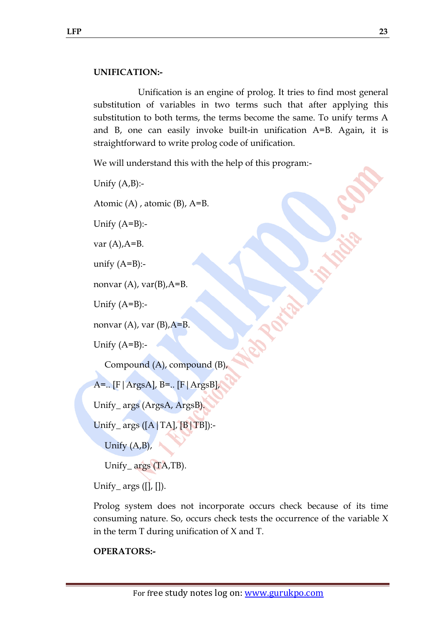#### **UNIFICATION:-**

Unification is an engine of prolog. It tries to find most general substitution of variables in two terms such that after applying this substitution to both terms, the terms become the same. To unify terms A and B, one can easily invoke built-in unification A=B. Again, it is straightforward to write prolog code of unification.

We will understand this with the help of this program:-

Unify  $(A,B)$ :-

Atomic (A) , atomic (B), A=B.

Unify  $(A=B)$ :-

var  $(A)$ , $A=$ B.

unify  $(A=B)$ :-

nonvar  $(A)$ , var $(B)$ , A=B.

Unify  $(A=B)$ :-

nonvar  $(A)$ , var  $(B)$ ,  $A=B$ .

Unify  $(A=B)$ :-

Compound (A), compound (B),

A=.. [F|ArgsA], B=.. [F|ArgsB],

Unify\_ args (ArgsA, ArgsB).

Unify args ( $[A|TA]$ ,  $[B|TB]$ ):-

Unify (A,B),

Unify\_ args (TA,TB).

Unify\_args  $[[,$  []).

Prolog system does not incorporate occurs check because of its time consuming nature. So, occurs check tests the occurrence of the variable X in the term T during unification of X and T.

#### **OPERATORS:-**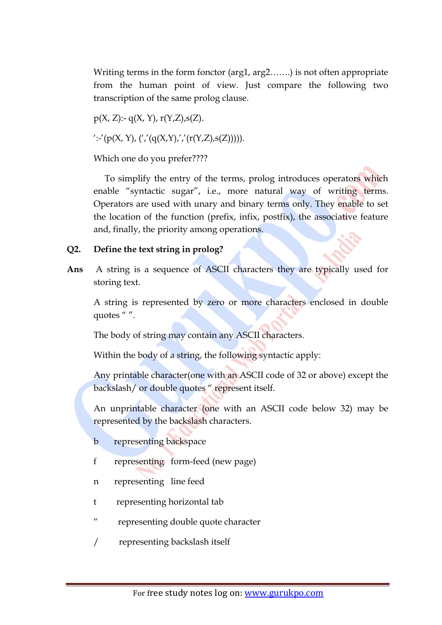Writing terms in the form fonctor (arg1, arg2…….) is not often appropriate from the human point of view. Just compare the following two transcription of the same prolog clause.

 $p(X, Z)$ :- q(X, Y), r(Y,Z), s(Z).

':-'(p(X, Y), (','(q(X,Y),','(r(Y,Z),s(Z))))).

Which one do you prefer????

To simplify the entry of the terms, prolog introduces operators which enable "syntactic sugar", i.e., more natural way of writing terms. Operators are used with unary and binary terms only. They enable to set the location of the function (prefix, infix, postfix), the associative feature and, finally, the priority among operations.

## **Q2. Define the text string in prolog?**

**Ans** A string is a sequence of ASCII characters they are typically used for storing text.

A string is represented by zero or more characters enclosed in double quotes " ".

The body of string may contain any ASCII characters.

Within the body of a string, the following syntactic apply:

Any printable character(one with an ASCII code of 32 or above) except the backslash/ or double quotes " represent itself.

An unprintable character (one with an ASCII code below 32) may be represented by the backslash characters.

- b representing backspace
- f representing form-feed (new page)
- n representing line feed
- t representing horizontal tab
- " representing double quote character
- / representing backslash itself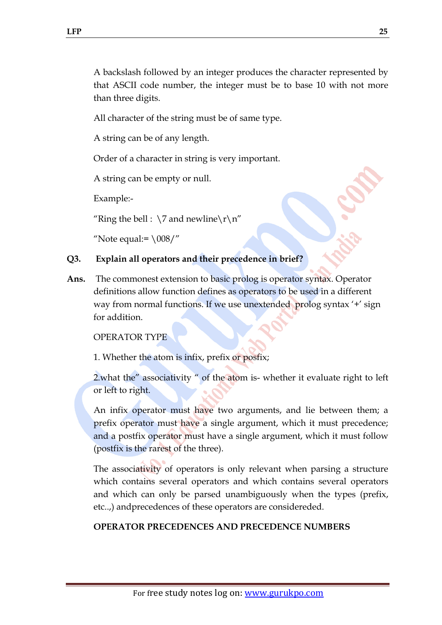A backslash followed by an integer produces the character represented by that ASCII code number, the integer must be to base 10 with not more than three digits.

All character of the string must be of same type.

A string can be of any length.

Order of a character in string is very important.

A string can be empty or null.

Example:-

"Ring the bell :  $\7$  and newline $\r \n\cdot \n\cdot$ "

"Note equal:=  $\008$ /"

#### **Q3. Explain all operators and their precedence in brief?**

**Ans.** The commonest extension to basic prolog is operator syntax. Operator definitions allow function defines as operators to be used in a different way from normal functions. If we use unextended prolog syntax '+' sign for addition.

OPERATOR TYPE

1. Whether the atom is infix, prefix or posfix;

2.what the" associativity " of the atom is- whether it evaluate right to left or left to right.

An infix operator must have two arguments, and lie between them; a prefix operator must have a single argument, which it must precedence; and a postfix operator must have a single argument, which it must follow (postfix is the rarest of the three).

The associativity of operators is only relevant when parsing a structure which contains several operators and which contains several operators and which can only be parsed unambiguously when the types (prefix, etc..,) andprecedences of these operators are considereded.

#### **OPERATOR PRECEDENCES AND PRECEDENCE NUMBERS**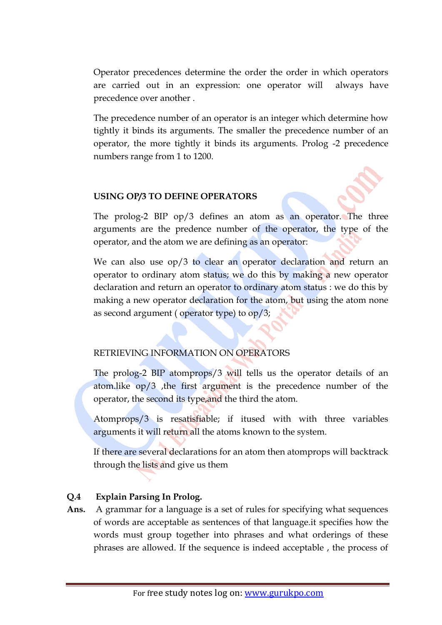Operator precedences determine the order the order in which operators are carried out in an expression: one operator will always have precedence over another .

The precedence number of an operator is an integer which determine how tightly it binds its arguments. The smaller the precedence number of an operator, the more tightly it binds its arguments. Prolog -2 precedence numbers range from 1 to 1200.

### **USING OP/3 TO DEFINE OPERATORS**

The prolog-2 BIP op/3 defines an atom as an operator. The three arguments are the predence number of the operator, the type of the operator, and the atom we are defining as an operator:

We can also use op/3 to clear an operator declaration and return an operator to ordinary atom status; we do this by making a new operator declaration and return an operator to ordinary atom status : we do this by making a new operator declaration for the atom, but using the atom none as second argument ( operator type) to op/3;

#### RETRIEVING INFORMATION ON OPERATORS

The prolog-2 BIP atomprops/3 will tells us the operator details of an atom.like op/3 ,the first argument is the precedence number of the operator, the second its type,and the third the atom.

Atomprops/3 is resatisfiable; if itused with with three variables arguments it will return all the atoms known to the system.

If there are several declarations for an atom then atomprops will backtrack through the lists and give us them

#### **Q.4 Explain Parsing In Prolog.**

**Ans.** A grammar for a language is a set of rules for specifying what sequences of words are acceptable as sentences of that language.it specifies how the words must group together into phrases and what orderings of these phrases are allowed. If the sequence is indeed acceptable , the process of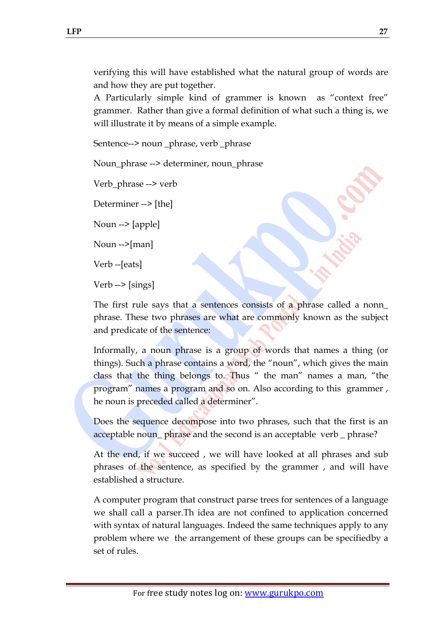verifying this will have established what the natural group of words are and how they are put together.

A Particularly simple kind of grammer is known as "context free" grammer. Rather than give a formal definition of what such a thing is, we will illustrate it by means of a simple example.

Sentence--> noun \_phrase, verb \_phrase

Noun\_phrase --> determiner, noun\_phrase

Verb\_phrase --> verb

Determiner --> [the]

Noun --> [apple]

Noun -->[man]

Verb --[eats]

Verb --> [sings]

The first rule says that a sentences consists of a phrase called a nonn\_ phrase. These two phrases are what are commonly known as the subject and predicate of the sentence:

Informally, a noun phrase is a group of words that names a thing (or things). Such a phrase contains a word, the "noun", which gives the main class that the thing belongs to. Thus " the man" names a man, "the program" names a program and so on. Also according to this grammer , he noun is preceded called a determiner".

Does the sequence decompose into two phrases, such that the first is an acceptable noun\_ phrase and the second is an acceptable verb \_ phrase?

At the end, if we succeed , we will have looked at all phrases and sub phrases of the sentence, as specified by the grammer , and will have established a structure.

A computer program that construct parse trees for sentences of a language we shall call a parser.Th idea are not confined to application concerned with syntax of natural languages. Indeed the same techniques apply to any problem where we the arrangement of these groups can be specifiedby a set of rules.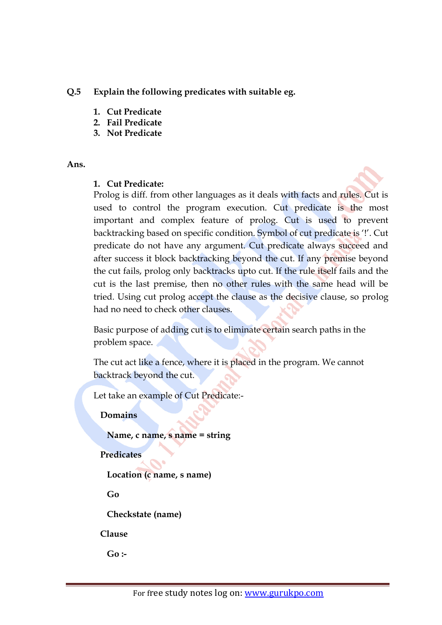#### **Q.5 Explain the following predicates with suitable eg.**

- **1. Cut Predicate**
- **2. Fail Predicate**
- **3. Not Predicate**

**Ans.**

#### **1. Cut Predicate:**

Prolog is diff. from other languages as it deals with facts and rules. Cut is used to control the program execution. Cut predicate is the most important and complex feature of prolog. Cut is used to prevent backtracking based on specific condition. Symbol of cut predicate is '!'. Cut predicate do not have any argument. Cut predicate always succeed and after success it block backtracking beyond the cut. If any premise beyond the cut fails, prolog only backtracks upto cut. If the rule itself fails and the cut is the last premise, then no other rules with the same head will be tried. Using cut prolog accept the clause as the decisive clause, so prolog had no need to check other clauses.

Basic purpose of adding cut is to eliminate certain search paths in the problem space.

The cut act like a fence, where it is placed in the program. We cannot backtrack beyond the cut.

Let take an example of Cut Predicate:-

**Domains** 

**Name, c name, s name = string**

**Predicates**

```
Location (c name, s name)
```
**Go**

**Checkstate (name)**

**Clause**

**Go :-**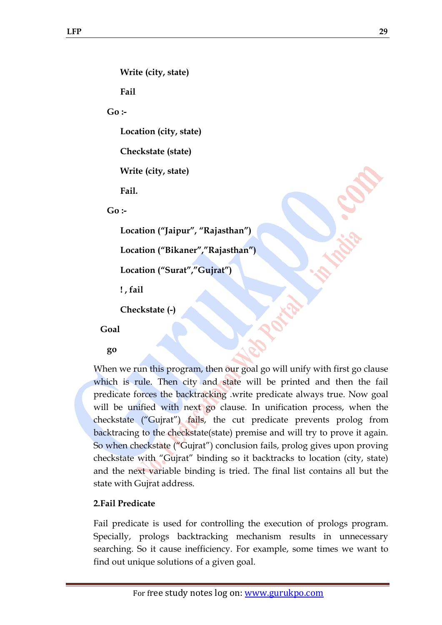**Write (city, state)**

**Fail** 

**Go :-**

**Location (city, state)**

**Checkstate (state)**

**Write (city, state)**

**Fail.**

**Go :-**

**Location ("Jaipur", "Rajasthan")**

**Location ("Bikaner","Rajasthan")**

**Location ("Surat","Gujrat")**

**! , fail**

```
Checkstate (-)
```
**Goal**

**go**

When we run this program, then our goal go will unify with first go clause which is rule. Then city and state will be printed and then the fail predicate forces the backtracking .write predicate always true. Now goal will be unified with next go clause. In unification process, when the checkstate ("Gujrat") fails, the cut predicate prevents prolog from backtracing to the checkstate(state) premise and will try to prove it again. So when checkstate ("Gujrat") conclusion fails, prolog gives upon proving checkstate with "Gujrat" binding so it backtracks to location (city, state) and the next variable binding is tried. The final list contains all but the state with Gujrat address.

## **2.Fail Predicate**

Fail predicate is used for controlling the execution of prologs program. Specially, prologs backtracking mechanism results in unnecessary searching. So it cause inefficiency. For example, some times we want to find out unique solutions of a given goal.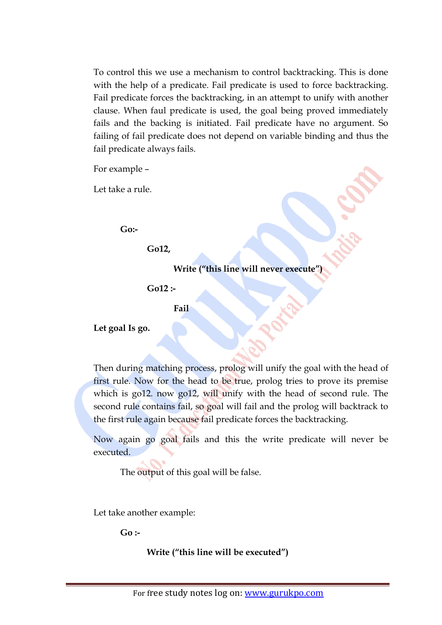To control this we use a mechanism to control backtracking. This is done with the help of a predicate. Fail predicate is used to force backtracking. Fail predicate forces the backtracking, in an attempt to unify with another clause. When faul predicate is used, the goal being proved immediately fails and the backing is initiated. Fail predicate have no argument. So failing of fail predicate does not depend on variable binding and thus the fail predicate always fails.

For example –

Let take a rule.

**Go:-**

**Go12,** 

**Write ("this line will never execute")**

**Go12 :-**

**Fail**

**Let goal Is go.**

Then during matching process, prolog will unify the goal with the head of first rule. Now for the head to be true, prolog tries to prove its premise which is go12. now go12, will unify with the head of second rule. The second rule contains fail, so goal will fail and the prolog will backtrack to the first rule again because fail predicate forces the backtracking.

Now again go goal fails and this the write predicate will never be executed.

The output of this goal will be false.

Let take another example:

**Go :-**

**Write ("this line will be executed")**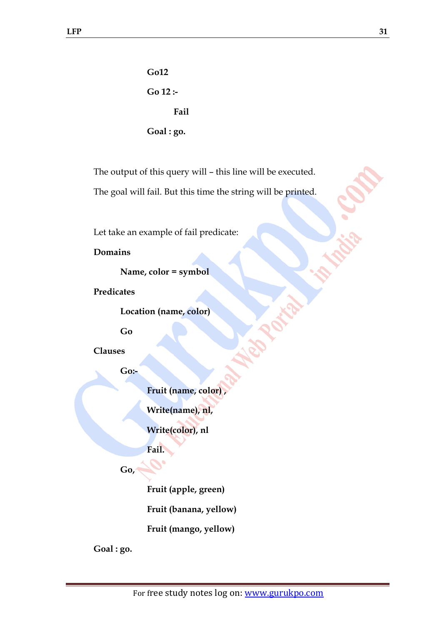**Go12 Go 12 :- Fail Goal : go.** 

The output of this query will – this line will be executed.

The goal will fail. But this time the string will be printed.

Let take an example of fail predicate:

**Domains**

**Name, color = symbol**

**Predicates**

**Location (name, color)**

**Go**

**Clauses**

**Go:-**

**Fruit (name, color) ,**

**Write(name), nl,** 

**Write(color), nl**

**Fail.**

**Go,**

**Fruit (apple, green)**

**Fruit (banana, yellow)**

**Fruit (mango, yellow)**

**Goal : go.**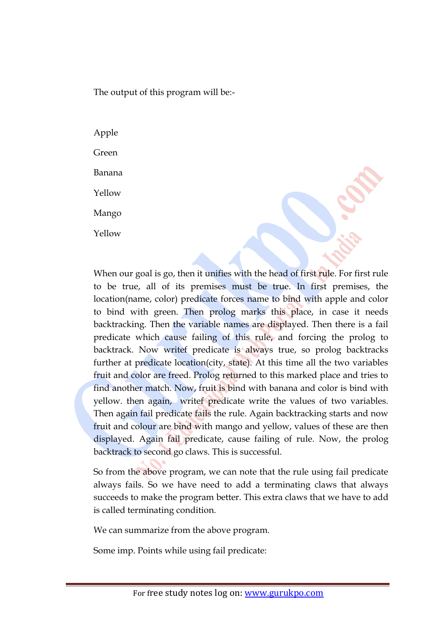The output of this program will be:-

Apple Green Banana Yellow Mango Yellow

When our goal is go, then it unifies with the head of first rule. For first rule to be true, all of its premises must be true. In first premises, the location(name, color) predicate forces name to bind with apple and color to bind with green. Then prolog marks this place, in case it needs backtracking. Then the variable names are displayed. Then there is a fail predicate which cause failing of this rule, and forcing the prolog to backtrack. Now writef predicate is always true, so prolog backtracks further at predicate location(city, state). At this time all the two variables fruit and color are freed. Prolog returned to this marked place and tries to find another match. Now, fruit is bind with banana and color is bind with yellow. then again, writef predicate write the values of two variables. Then again fail predicate fails the rule. Again backtracking starts and now fruit and colour are bind with mango and yellow, values of these are then displayed. Again fail predicate, cause failing of rule. Now, the prolog backtrack to second go claws. This is successful.

So from the above program, we can note that the rule using fail predicate always fails. So we have need to add a terminating claws that always succeeds to make the program better. This extra claws that we have to add is called terminating condition.

We can summarize from the above program.

Some imp. Points while using fail predicate: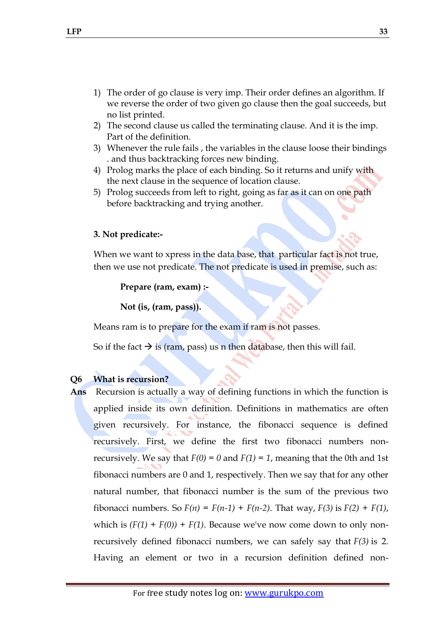- 1) The order of go clause is very imp. Their order defines an algorithm. If we reverse the order of two given go clause then the goal succeeds, but no list printed.
- 2) The second clause us called the terminating clause. And it is the imp. Part of the definition.
- 3) Whenever the rule fails , the variables in the clause loose their bindings . and thus backtracking forces new binding.
- 4) Prolog marks the place of each binding. So it returns and unify with the next clause in the sequence of location clause.
- 5) Prolog succeeds from left to right, going as far as it can on one path before backtracking and trying another.

#### **3. Not predicate:-**

When we want to xpress in the data base, that particular fact is not true, then we use not predicate. The not predicate is used in premise, such as:

```
Prepare (ram, exam) :-
```
**Not (is, (ram, pass)).**

Means ram is to prepare for the exam if ram is not passes.

So if the fact  $\rightarrow$  is (ram, pass) us n then database, then this will fail.

#### **Q6 What is recursion?**

**Ans** Recursion is actually a way of defining functions in which the function is applied inside its own definition. Definitions in mathematics are often given recursively. For instance, the fibonacci sequence is defined recursively. First, we define the first two fibonacci numbers nonrecursively. We say that  $F(0) = 0$  and  $F(1) = 1$ , meaning that the 0th and 1st fibonacci numbers are 0 and 1, respectively. Then we say that for any other natural number, that fibonacci number is the sum of the previous two fibonacci numbers. So  $F(n) = F(n-1) + F(n-2)$ . That way,  $F(3)$  is  $F(2) + F(1)$ , which is  $(F(1) + F(0)) + F(1)$ . Because we've now come down to only nonrecursively defined fibonacci numbers, we can safely say that *F(3)* is 2. Having an element or two in a recursion definition defined non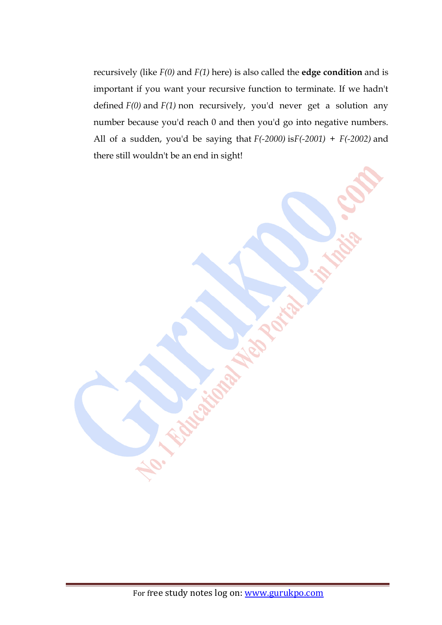recursively (like *F(0)* and *F(1)* here) is also called the **edge condition** and is important if you want your recursive function to terminate. If we hadn't defined *F(0)* and *F(1)* non recursively, you'd never get a solution any number because you'd reach 0 and then you'd go into negative numbers. All of a sudden, you'd be saying that *F(-2000)* is*F(-2001) + F(-2002)* and there still wouldn't be an end in sight!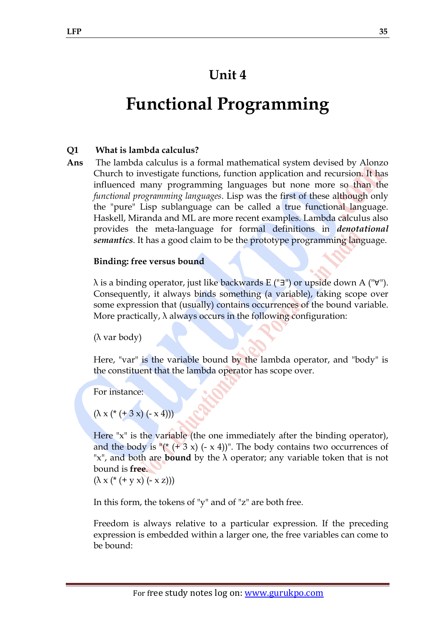## **Unit 4**

# **Functional Programming**

## **Q1 What is lambda calculus?**

**Ans** The lambda calculus is a formal mathematical system devised by Alonzo Church to investigate functions, function application and recursion. It has influenced many programming languages but none more so than the *functional programming languages*. Lisp was the first of these although only the "pure" Lisp sublanguage can be called a true functional language. Haskell, Miranda and ML are more recent examples. Lambda calculus also provides the meta-language for formal definitions in *denotational semantics*. It has a good claim to be the prototype programming language.

#### **Binding: free versus bound**

 $\lambda$  is a binding operator, just like backwards E ("∃") or upside down A ("∀"). Consequently, it always binds something (a variable), taking scope over some expression that (usually) contains occurrences of the bound variable. More practically,  $\lambda$  always occurs in the following configuration:

(λ var body)

Here, "var" is the variable bound by the lambda operator, and "body" is the constituent that the lambda operator has scope over.

For instance:

## $(\lambda x (* (+ 3 x) (- x 4)))$

Here "x" is the variable (the one immediately after the binding operator), and the body is "(\*  $(+ 3 x)$  (- x 4))". The body contains two occurrences of "x", and both are **bound** by the  $\lambda$  operator; any variable token that is not bound is **free**.

 $(\lambda x (* (+ y x) (- x z)))$ 

In this form, the tokens of "y" and of "z" are both free.

Freedom is always relative to a particular expression. If the preceding expression is embedded within a larger one, the free variables can come to be bound: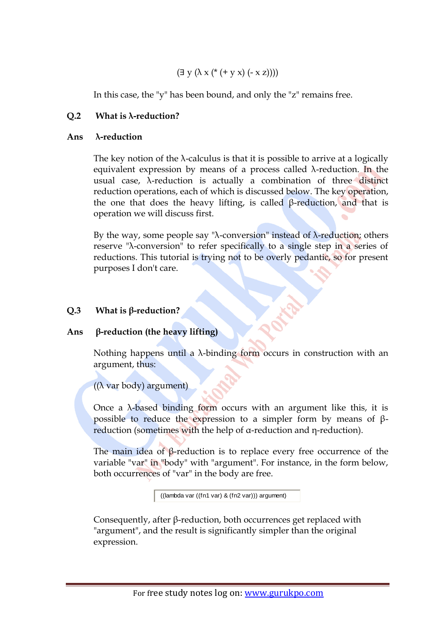## $(\exists v (\lambda x (*(+y x) (-x z))))$

In this case, the "y" has been bound, and only the "z" remains free.

## **Q.2 What is λ-reduction?**

### **Ans λ-reduction**

The key notion of the  $\lambda$ -calculus is that it is possible to arrive at a logically equivalent expression by means of a process called  $\lambda$ -reduction. In the usual case, λ-reduction is actually a combination of three distinct reduction operations, each of which is discussed below. The key operation, the one that does the heavy lifting, is called β-reduction, and that is operation we will discuss first.

By the way, some people say "λ-conversion" instead of λ-reduction; others reserve "λ-conversion" to refer specifically to a single step in a series of reductions. This tutorial is trying not to be overly pedantic, so for present purposes I don't care.

## **Q.3 What is β-reduction?**

## **Ans β-reduction (the heavy lifting)**

Nothing happens until a λ-binding form occurs in construction with an argument, thus:

((λ var body) argument)

Once a  $\lambda$ -based binding form occurs with an argument like this, it is possible to reduce the expression to a simpler form by means of βreduction (sometimes with the help of α-reduction and η-reduction).

The main idea of β-reduction is to replace every free occurrence of the variable "var" in "body" with "argument". For instance, in the form below, both occurrences of "var" in the body are free.

((lambda var ((fn1 var) & (fn2 var))) argument)

Consequently, after β-reduction, both occurrences get replaced with "argument", and the result is significantly simpler than the original expression.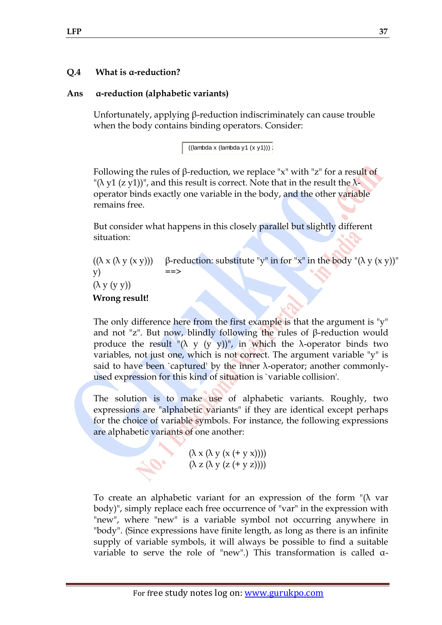## **Q.4 What is α-reduction?**

#### **Ans α-reduction (alphabetic variants)**

Unfortunately, applying  $\beta$ -reduction indiscriminately can cause trouble when the body contains binding operators. Consider:

 $((lambda x (lambda y 1)))$ :

Following the rules of β-reduction, we replace "x" with "z" for a result of "( $\lambda$  y1 (z y1))", and this result is correct. Note that in the result the  $\lambda$ operator binds exactly one variable in the body, and the other variable remains free.

But consider what happens in this closely parallel but slightly different situation:

 $((\lambda \times (\lambda \times (x))))$ y)  $\beta$ -reduction: substitute "y" in for "x" in the body "(λ y (x y))"  $=$  $(\lambda y (y y))$ **Wrong result!**

The only difference here from the first example is that the argument is " $y$ " and not "z". But now, blindly following the rules of β-reduction would produce the result "( $\lambda$  y (y y))", in which the  $\lambda$ -operator binds two variables, not just one, which is not correct. The argument variable "y" is said to have been `captured' by the inner  $\lambda$ -operator; another commonlyused expression for this kind of situation is `variable collision'.

The solution is to make use of alphabetic variants. Roughly, two expressions are "alphabetic variants" if they are identical except perhaps for the choice of variable symbols. For instance, the following expressions are alphabetic variants of one another:

> $(\lambda \times (\lambda \times (x (+ y x))))$  $(\lambda z (\lambda y (z (+ y z))))$

To create an alphabetic variant for an expression of the form  $\sqrt[n]{\lambda}$  var body)", simply replace each free occurrence of "var" in the expression with "new", where "new" is a variable symbol not occurring anywhere in "body". (Since expressions have finite length, as long as there is an infinite supply of variable symbols, it will always be possible to find a suitable variable to serve the role of "new".) This transformation is called α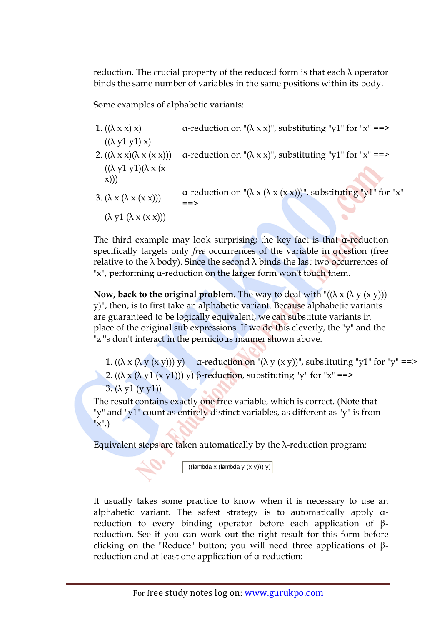reduction. The crucial property of the reduced form is that each  $\lambda$  operator binds the same number of variables in the same positions within its body.

Some examples of alphabetic variants:

1.  $((\lambda \times x) x)$   $\alpha$ -reduction on " $(\lambda \times x)$ ", substituting "y1" for "x" ==>  $((\lambda y1 y1)x)$ 2.  $((\lambda \times x)(\lambda \times (x \times)))$  a-reduction on " $(\lambda \times x)$ ", substituting "y1" for "x" ==>  $((\lambda y1 y1)(\lambda x)$ x))) 3.  $(\lambda \times (\lambda \times (x \times)))$   $\alpha$ -reduction on " $(\lambda \times (\lambda \times (x \times)))$ ", substituting "y1" for "x"  $=$  $(\lambda y1 (\lambda x (x x)))$  $\bullet$ 

The third example may look surprising; the key fact is that α-reduction specifically targets only *free* occurrences of the variable in question (free relative to the  $\lambda$  body). Since the second  $\lambda$  binds the last two occurrences of "x", performing α-reduction on the larger form won't touch them.

**Now, back to the original problem.** The way to deal with " $((\lambda \times (\lambda \vee (\chi \vee)))$ y)", then, is to first take an alphabetic variant. Because alphabetic variants are guaranteed to be logically equivalent, we can substitute variants in place of the original sub expressions. If we do this cleverly, the "y" and the "z"'s don't interact in the pernicious manner shown above.

1.  $((\lambda \times (\lambda \times (x \times y))) \times)$  a-reduction on " $(\lambda \times (x \times y))$ ", substituting "y1" for "y" ==> 2.  $((\lambda \times (\lambda \text{ y1 (x y1)})) \text{ y})$  β-reduction, substituting "y" for "x" ==> 3. ( $\lambda$  y1 (y y1))

The result contains exactly one free variable, which is correct. (Note that "y" and "y1" count as entirely distinct variables, as different as "y" is from  $"x".$ 

Equivalent steps are taken automatically by the λ-reduction program:

((lambda x (lambda y (x y))) y)

It usually takes some practice to know when it is necessary to use an alphabetic variant. The safest strategy is to automatically apply αreduction to every binding operator before each application of βreduction. See if you can work out the right result for this form before clicking on the "Reduce" button; you will need three applications of βreduction and at least one application of α-reduction: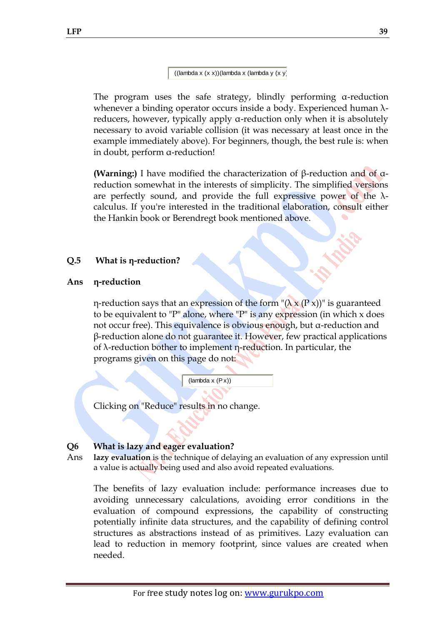The program uses the safe strategy, blindly performing α-reduction whenever a binding operator occurs inside a body. Experienced human λreducers, however, typically apply α-reduction only when it is absolutely necessary to avoid variable collision (it was necessary at least once in the example immediately above). For beginners, though, the best rule is: when in doubt, perform α-reduction!

**(Warning:)** I have modified the characterization of β-reduction and of αreduction somewhat in the interests of simplicity. The simplified versions are perfectly sound, and provide the full expressive power of the  $\lambda$ calculus. If you're interested in the traditional elaboration, consult either the Hankin book or Berendregt book mentioned above.

## **Q.5 What is η-reduction?**

#### **Ans η-reduction**

η-reduction says that an expression of the form "(λ x (P x))" is guaranteed to be equivalent to "P" alone, where "P" is any expression (in which x does not occur free). This equivalence is obvious enough, but α-reduction and β-reduction alone do not guarantee it. However, few practical applications of  $λ$ -reduction bother to implement η-reduction. In particular, the programs given on this page do not:

 $(lambda x (Px))$ 

Clicking on "Reduce" results in no change.

#### **Q6 What is lazy and eager evaluation?**

Ans **lazy evaluation** is the technique of delaying an evaluation of any expression until a value is actually being used and also avoid repeated evaluations.

For experimental is a sylemba x (andchi y cyp)<br>
whencever a binding operator cocurs inside a body. Experiment<br>
whencever a pixelial operator cocurs inside a body. Experimentaties<br>
necessary to avoid variable collision (it The benefits of lazy evaluation include: performance increases due to avoiding unnecessary calculations, avoiding error conditions in the evaluation of compound expressions, the capability of constructing potentially infinite [data structures,](http://www.wikipedia.org/wiki/Data_structure) and the capability of defining [control](http://www.wikipedia.org/wiki/Control_structure)  [structures](http://www.wikipedia.org/wiki/Control_structure) as abstractions instead of as primitives. Lazy evaluation can lead to reduction in memory footprint, since values are created when needed.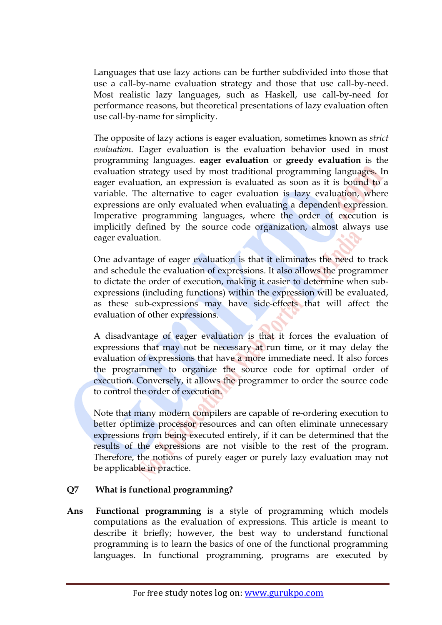Languages that use lazy actions can be further subdivided into those that use a call-by-name [evaluation strategy](http://www.wikipedia.org/wiki/Evaluation_strategy) and those that use call-by-need. Most realistic lazy languages, such as [Haskell,](http://www.wikipedia.org/wiki/Haskell_%28programming_language%29) use call-by-need for performance reasons, but theoretical presentations of lazy evaluation often use call-by-name for simplicity.

The opposite of lazy actions is [eager evaluation,](http://www.wikipedia.org/wiki/Eager_evaluation) sometimes known as *[strict](http://www.wikipedia.org/wiki/Evaluation_strategy#Strict_evaluation)  [evaluation](http://www.wikipedia.org/wiki/Evaluation_strategy#Strict_evaluation)*. Eager evaluation is the evaluation behavior used in most [programming languages.](http://www.wikipedia.org/wiki/Programming_languages) **eager evaluation** or **greedy evaluation** is the [evaluation strategy](http://en.wikipedia.org/wiki/Evaluation_strategy) used by most traditional [programming languages.](http://en.wikipedia.org/wiki/Programming_language) In eager evaluation, an [expression](http://en.wikipedia.org/wiki/Expression_%28mathematics%29) is evaluated as soon as it is bound to a [variable.](http://en.wikipedia.org/wiki/Variable_%28programming%29) The alternative to eager evaluation is [lazy evaluation,](http://en.wikipedia.org/wiki/Lazy_evaluation) where expressions are only evaluated when evaluating a dependent expression. [Imperative](http://en.wikipedia.org/wiki/Imperative_programming) programming languages, where the order of execution is implicitly defined by the source code organization, almost always use eager evaluation.

One advantage of eager evaluation is that it eliminates the need to track and schedule the evaluation of expressions. It also allows the programmer to dictate the order of execution, making it easier to determine when subexpressions (including functions) within the expression will be evaluated, as these sub-expressions may have side-effects that will affect the evaluation of other expressions.

A disadvantage of eager evaluation is that it forces the evaluation of expressions that may not be necessary at run time, or it may delay the evaluation of expressions that have a more immediate need. It also forces the programmer to organize the source code for optimal order of execution. Conversely, it allows the programmer to order the source code to control the order of execution.

Note that many modern compilers are capable of [re-ordering execution to](http://en.wikipedia.org/wiki/Compiler_optimization#Specific_techniques)  [better optimize processor resources](http://en.wikipedia.org/wiki/Compiler_optimization#Specific_techniques) and can often eliminate unnecessary expressions from being executed entirely, if it can be determined that the results of the expressions are [not visible to the rest of the program.](http://en.wikipedia.org/wiki/Dead_code) Therefore, the notions of purely eager or purely lazy evaluation may not be applicable in practice.

## **Q7 What is functional programming?**

**Ans Functional programming** is a style of programming which models computations as the evaluation of expressions. This article is meant to describe it briefly; however, the best way to understand functional programming is to learn the basics of one of the functional programming languages. In functional programming, programs are executed by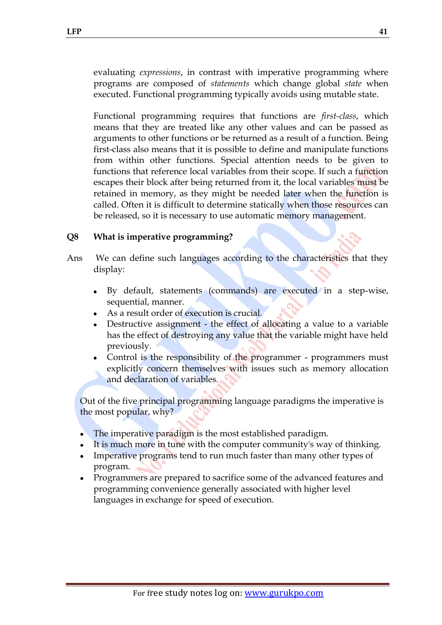evaluating *expressions*, in contrast with imperative programming where programs are composed of *statements* which change global *state* when executed. Functional programming typically avoids using mutable state.

Functional programming requires that functions are *first-class*, which means that they are treated like any other values and can be passed as arguments to other functions or be returned as a result of a function. Being first-class also means that it is possible to define and manipulate functions from within other functions. Special attention needs to be given to functions that reference local variables from their scope. If such a function escapes their block after being returned from it, the local variables must be retained in memory, as they might be needed later when the function is called. Often it is difficult to determine statically when those resources can be released, so it is necessary to use automatic memory management.

#### **Q8 What is imperative programming?**

- Ans We can define such languages according to the characteristics that they display:
	- By default, statements (commands) are executed in a step-wise, sequential, manner.
	- As a result order of execution is crucial.
	- Destructive assignment the effect of allocating a value to a variable has the effect of destroying any value that the variable might have held previously.
	- Control is the responsibility of the programmer programmers must explicitly concern themselves with issues such as memory allocation and declaration of variables.

Out of the five principal programming language paradigms the imperative is the most popular, why?

- The imperative paradigm is the most established paradigm.
- It is much more in tune with the computer community's way of thinking.
- Imperative programs tend to run much faster than many other types of program.
- Programmers are prepared to sacrifice some of the advanced features and programming convenience generally associated with higher level languages in exchange for speed of execution.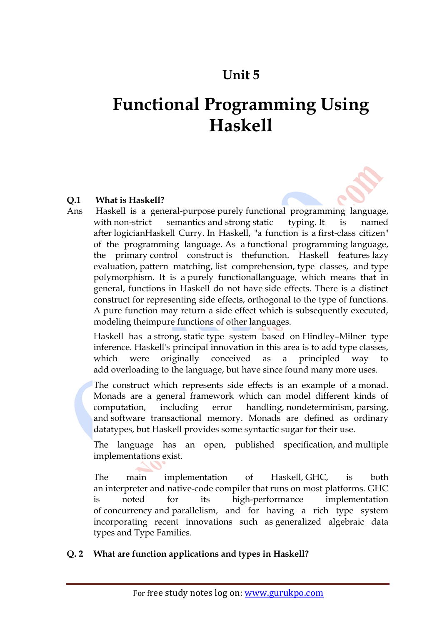## **Unit 5**

# **Functional Programming Using Haskell**

### **Q.1 What is Haskell?**

Ans Haskell is a general-purpose [purely](http://en.wikipedia.org/wiki/Purely_functional) [functional programming](http://en.wikipedia.org/wiki/Functional_programming) [language,](http://en.wikipedia.org/wiki/Programming_language) with [non-strict semantics](http://en.wikipedia.org/wiki/Non-strict_semantics) and [strong](http://en.wikipedia.org/wiki/Strong_typing) [static typing.](http://en.wikipedia.org/wiki/Static_typing) It is named after [logicianHaskell Curry.](http://en.wikipedia.org/wiki/Logician) In Haskell, "a function is a [first-class citizen"](http://en.wikipedia.org/wiki/First-class_object) of the programming language. As a [functional programming](http://en.wikipedia.org/wiki/Functional_programming) language, the primary [control construct](http://en.wikipedia.org/wiki/Control_flow) is th[efunction.](http://en.wikipedia.org/wiki/Subroutine) Haskell features [lazy](http://en.wikipedia.org/wiki/Lazy_evaluation)  [evaluation,](http://en.wikipedia.org/wiki/Lazy_evaluation) [pattern matching,](http://en.wikipedia.org/wiki/Pattern_matching) [list comprehension,](http://en.wikipedia.org/wiki/List_comprehension) [type classes,](http://en.wikipedia.org/wiki/Type_class) and [type](http://en.wikipedia.org/wiki/Type_polymorphism)  [polymorphism.](http://en.wikipedia.org/wiki/Type_polymorphism) It is a [purely functionall](http://en.wikipedia.org/wiki/Purely_functional)anguage, which means that in general, functions in Haskell do not have [side effects.](http://en.wikipedia.org/wiki/Side_effect_(computer_science)) There is a distinct construct for representing side effects, [orthogonal](http://en.wikipedia.org/wiki/Orthogonal#Computer_science) to the type of functions. A pure function may return a side effect which is subsequently executed, modeling th[eimpure functions](http://en.wikipedia.org/wiki/Pure_function#Impure_functions) of other languages.

Haskell has a [strong,](http://en.wikipedia.org/wiki/Strongly_typed_programming_language) [static](http://en.wikipedia.org/wiki/Static_type#Static_typing) type system based on Hindley–[Milner type](http://en.wikipedia.org/wiki/Hindley%E2%80%93Milner_type_inference)  [inference.](http://en.wikipedia.org/wiki/Hindley%E2%80%93Milner_type_inference) Haskell's principal innovation in this area is to add type classes, which were originally conceived as a principled way to add [overloading](http://en.wikipedia.org/wiki/Polymorphism_(computer_science)) to the language, but have since found many more uses.

The construct which represents side effects is an example of a [monad.](http://en.wikipedia.org/wiki/Monad_(functional_programming)) Monads are a general framework which can model different kinds of computation, including error handling, [nondeterminism,](http://en.wikipedia.org/wiki/Nondeterministic_algorithm) [parsing,](http://en.wikipedia.org/wiki/Parsing) and [software transactional memory.](http://en.wikipedia.org/wiki/Software_transactional_memory) Monads are defined as ordinary datatypes, but Haskell provides some [syntactic sugar](http://en.wikipedia.org/wiki/Syntactic_sugar) for their use.

The language has an open, published specification, and [multiple](http://en.wikipedia.org/wiki/Haskell_(programming_language)#Implementations)  [implementations exist.](http://en.wikipedia.org/wiki/Haskell_(programming_language)#Implementations)

The main implementation of Haskell, [GHC,](http://en.wikipedia.org/wiki/Glasgow_Haskell_Compiler) is both an [interpreter](http://en.wikipedia.org/wiki/Interpreter_(computing)) and [native-code](http://en.wikipedia.org/wiki/Machine_code) [compiler](http://en.wikipedia.org/wiki/Compiler) that runs on most platforms. GHC is noted for its high-performance implementation of [concurrency](http://en.wikipedia.org/wiki/Concurrency_(computer_science)) and [parallelism,](http://en.wikipedia.org/wiki/Parallel_computing) and for having a rich type system incorporating recent innovations such as [generalized algebraic data](http://en.wikipedia.org/wiki/Generalized_algebraic_data_type)  [types](http://en.wikipedia.org/wiki/Generalized_algebraic_data_type) and [Type Families.](http://www.haskell.org/ghc/docs/latest/html/users_guide/type-families.html)

## **Q. 2 What are function applications and types in Haskell?**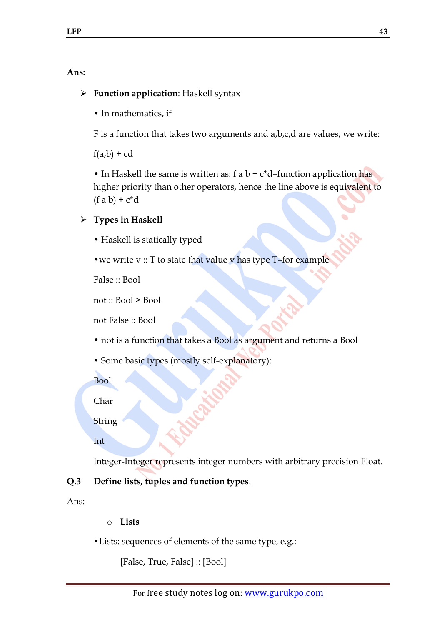**Ans:**

## **Function application**: Haskell syntax

• In mathematics, if

F is a function that takes two arguments and a,b,c,d are values, we write:

 $f(a,b) + cd$ 

• In Haskell the same is written as:  $f$  a  $b + c^*d$ -function application has higher priority than other operators, hence the line above is equivalent to  $(f a b) + c^*d$ 

#### **Types in Haskell**

• Haskell is statically typed

•we write v :: T to state that value v has type T–for example

False :: Bool

not :: Bool > Bool

not False :: Bool

- not is a function that takes a Bool as argument and returns a Bool
- Some basic types (mostly self-explanatory):

Bool

Char

**String** 

Int

Integer-Integer represents integer numbers with arbitrary precision Float.

#### **Q.3 Define lists, tuples and function types**.

Ans:

o **Lists**

•Lists: sequences of elements of the same type, e.g.:

[False, True, False] :: [Bool]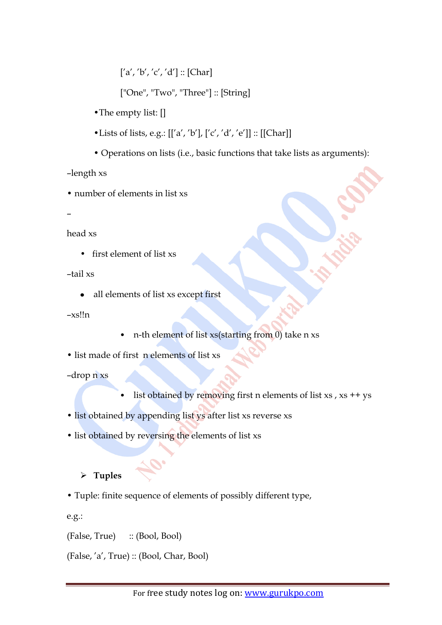$['a', 'b', 'c', 'd'] :: [Char]$ 

["One", "Two", "Three"] :: [String]

- The empty list: []
- •Lists of lists, e.g.:  $[[a', 'b'], ['c', 'd', 'e']]$  ::  $[[Char]]$
- Operations on lists (i.e., basic functions that take lists as arguments):

–length xs

• number of elements in list xs

–

head xs

• first element of list xs

–tail xs

all elements of list xs except first  $\bullet$ 

 $-xs!!n$ 

• n-th element of list xs(starting from 0) take n xs

• list made of first n elements of list xs

–drop n xs

- list obtained by removing first n elements of list  $xs$  ,  $xs$  ++  $ys$
- list obtained by appending list ys after list xs reverse xs
- list obtained by reversing the elements of list xs

## **Tuples**

• Tuple: finite sequence of elements of possibly different type,

e.g.:

(False, True) :: (Bool, Bool)

(False, "a", True) :: (Bool, Char, Bool)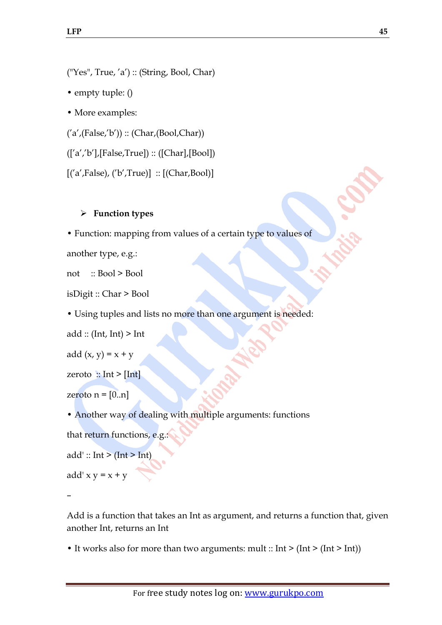("Yes", True, "a") :: (String, Bool, Char)

• empty tuple: ()

• More examples:

 $('a', (False', b')) :: (Char, (Bool, Char))$ 

 $([a', 'b'], [False, True]) :: ([Char], [Bool])$ 

 $[(a', False), (b', True)] :: [(Char,Bool)]$ 

## **Function types**

```
• Function: mapping from values of a certain type to values of
```
another type, e.g.:

not :: Bool > Bool

isDigit :: Char > Bool

• Using tuples and lists no more than one argument is needed:

add  $::$  (Int, Int)  $>$  Int

add  $(x, y) = x + y$ 

zeroto  $::$  Int > [Int]

zeroto  $n = [0..n]$ 

• Another way of dealing with multiple arguments: functions

that return functions, e.g.:

add' :: Int > (Int > Int)

add'  $x y = x + y$ 

–

Add is a function that takes an Int as argument, and returns a function that, given another Int, returns an Int

• It works also for more than two arguments: mult :: Int  $>$  (Int  $>$  (Int  $>$  Int))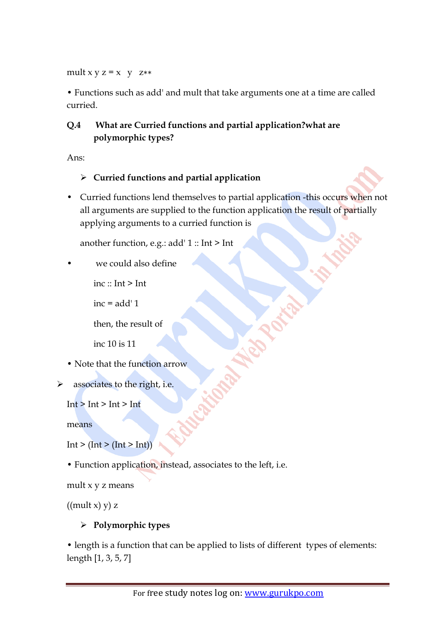mult  $x y z = x y z**$ 

• Functions such as add' and mult that take arguments one at a time are called curried.

## **Q.4 What are Curried functions and partial application?what are polymorphic types?**

Ans:

## **Curried functions and partial application**

• Curried functions lend themselves to partial application -this occurs when not all arguments are supplied to the function application the result of partially applying arguments to a curried function is

another function, e.g.: add' 1 :: Int > Int

• we could also define

inc  $:$  Int  $>$  Int

```
inc = add' 1
```
then, the result of

inc 10 is 11

- Note that the function arrow
- $\triangleright$  associates to the right, i.e.

 $Int > Int > Int > Int$ 

means

Int >  $(\text{Int} > (\text{Int} > \text{Int}))$ 

• Function application, instead, associates to the left, i.e.

mult x y z means

 $((mult x) y) z$ 

## **Polymorphic types**

• length is a function that can be applied to lists of different types of elements: length [1, 3, 5, 7]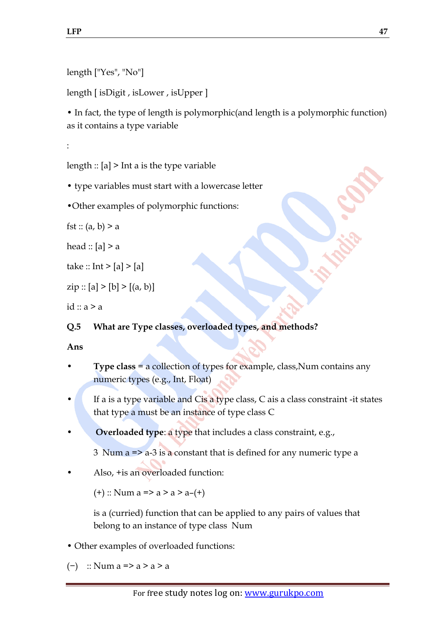length ["Yes", "No"]

length [ isDigit , isLower , isUpper ]

• In fact, the type of length is polymorphic(and length is a polymorphic function) as it contains a type variable

:

length :: [a] > Int a is the type variable

• type variables must start with a lowercase letter

•Other examples of polymorphic functions:

fst ::  $(a, b)$  > a

head  $:: [a] \ge a$ 

take :: Int > [a] > [a]

 $zip : [a] > [b] > [(a, b)]$ 

 $id :: a > a$ 

## **Q.5 What are Type classes, overloaded types, and methods?**

**Ans**

- **Type class** = a collection of types for example, class,Num contains any numeric types (e.g., Int, Float)
- If a is a type variable and Cis a type class, C ais a class constraint -it states that type a must be an instance of type class C
- **Overloaded type**: a type that includes a class constraint, e.g.,
	- 3 Num a => a-3 is a constant that is defined for any numeric type a
- Also, +is an overloaded function:

 $(+)$  :: Num a => a > a > a -(+)

is a (curried) function that can be applied to any pairs of values that belong to an instance of type class Num

• Other examples of overloaded functions:

(−) :: Num a =>  $a > a > a$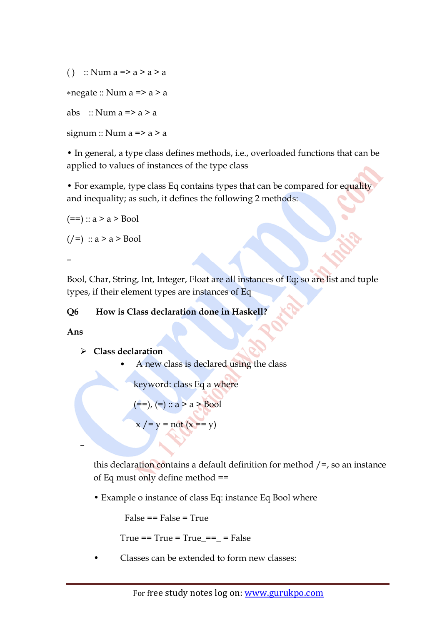( ) :: Num a =>  $a > a > a$ ∗negate :: Num a => a > a abs  $::$  Num a => a > a signum :: Num  $a \Rightarrow a \ge a$ 

• In general, a type class defines methods, i.e., overloaded functions that can be applied to values of instances of the type class

• For example, type class Eq contains types that can be compared for equality and inequality; as such, it defines the following 2 methods:

```
(==) :: a > a > 3(\neq) :: a > a > Bool
–
```
Bool, Char, String, Int, Integer, Float are all instances of Eq; so are list and tuple types, if their element types are instances of Eq

## **Q6 How is Class declaration done in Haskell?**

## **Ans**

–

```
 Class declaration
```

```
• A new class is declared using the class
```
keyword: class Eq a where

 $(==), (=): a > a > 3$ 

$$
x / = y = not (x == y)
$$

this declaration contains a default definition for method  $/ =$ , so an instance of Eq must only define method ==

• Example o instance of class Eq: instance Eq Bool where

 $False = False = True$ 

True  $== True = True$   $==$   $False$ 

• Classes can be extended to form new classes: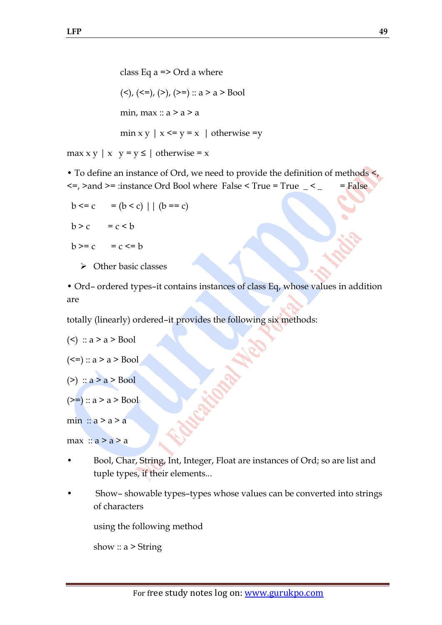class Eq  $a \equiv$  Ord a where  $(\le)$ ,  $(\le)$ ,  $(\ge)$ ,  $(\ge)$  :: a > a > Bool min, max ::  $a > a > a$ min x y  $\vert x \vert < y = x \vert$  otherwise =y

max  $x y \mid x \mid y = y \le \mid$  otherwise = x

• To define an instance of Ord, we need to provide the definition of methods  $\leq$ ,  $\leq$  > and > = :instance Ord Bool where False  $\leq$  True = True  $\leq$  = False

$$
b <= c \quad = (b < c) \mid | \quad (b == c)
$$
\n
$$
b > c \quad = c < b
$$

 $b \geq c$  =  $c \leq b$ 

 $\triangleright$  Other basic classes

• Ord– ordered types–it contains instances of class Eq, whose values in addition are

totally (linearly) ordered–it provides the following six methods:

$$
(\leq) :: a > a > \text{Bool}
$$

 $(\leq=):$  a > a > Bool

$$
(\geq) :: a \geq a \geq \text{Bool}
$$

 $(>=)$  :: a > a > Bool

min ::  $a > a > a$ 

 $max :: a > a > a$ 

- Bool, Char, String, Int, Integer, Float are instances of Ord; so are list and tuple types, if their elements...
- Show– showable types–types whose values can be converted into strings of characters

using the following method

show  $:: a > String$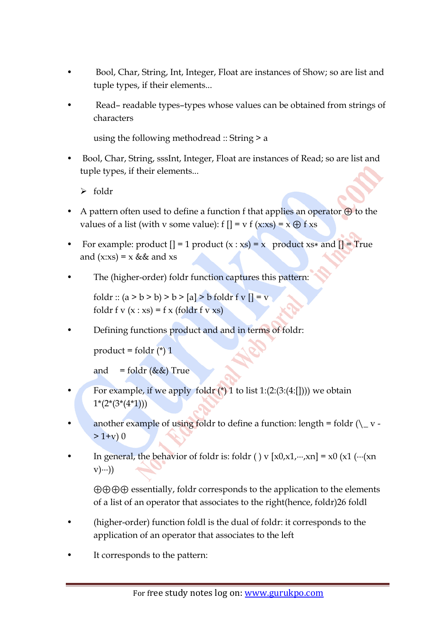- Bool, Char, String, Int, Integer, Float are instances of Show; so are list and tuple types, if their elements...
- Read– readable types–types whose values can be obtained from strings of characters

using the following methodread :: String > a

• Bool, Char, String, sssInt, Integer, Float are instances of Read; so are list and tuple types, if their elements...

 $\triangleright$  foldr

- A pattern often used to define a function f that applies an operator  $\bigoplus$  to the values of a list (with v some value): f  $[] = v f(x:xs) = x \oplus f xs$
- For example: product  $[] = 1$  product  $(x : xs) = x$  product  $xs*$  and  $[] = True$ and  $(x:xs) = x \&\&$  and  $xs$
- The (higher-order) foldr function captures this pattern:

foldr ::  $(a > b > b) > b > [a] > b$  foldr f v  $[] = v$ foldr f v  $(x : xs) = f x$  (foldr f v xs)

• Defining functions product and and in terms of foldr:

```
product = foldr (*) 1
```

```
and = foldr ( & \&) True
```
- For example, if we apply foldr  $(*)$  1 to list 1:(2:(3:(4:[]))) we obtain  $1*(2*(3*(4*1)))$
- another example of using foldr to define a function: length = foldr  $(\_ v > 1 + v$ ) 0
- In general, the behavior of foldr is: foldr ( ) v  $[x0,x1,\dots,xn] = x0(x1)$  ( $\cdots$ (xn v)∙∙∙))

⊕⊕⊕⊕ essentially, foldr corresponds to the application to the elements of a list of an operator that associates to the right(hence, foldr)26 foldl

- (higher-order) function foldl is the dual of foldr: it corresponds to the application of an operator that associates to the left
- It corresponds to the pattern: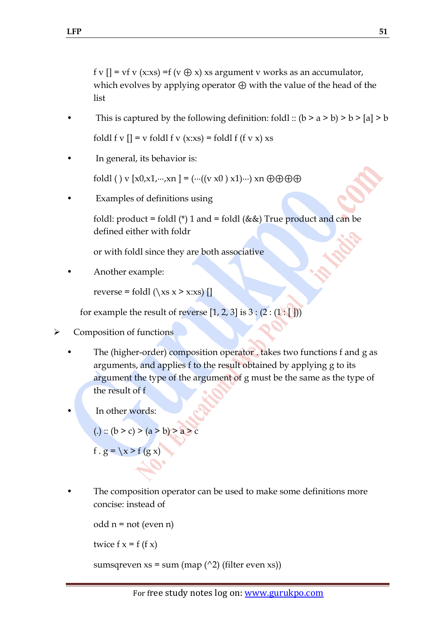f v  $[] = vf$  v  $(x:xs) = f(v \oplus x)$  xs argument v works as an accumulator, which evolves by applying operator  $\oplus$  with the value of the head of the list

- This is captured by the following definition: foldl ::  $(b > a > b) > b > [a] > b$ foldl f v  $[] = v$  foldl f v  $(x:xs) =$  foldl f  $(f v x)$  xs
- In general, its behavior is:

foldl ( ) v [x0,x1,…,xn ] = (…((v x0 ) x1)…) xn  $\oplus \oplus \oplus$ 

Examples of definitions using

foldl: product = foldl (\*) 1 and = foldl (&&) True product and can be defined either with foldr

or with foldl since they are both associative

• Another example:

reverse = foldl  $(\x\$  x > x:xs) []

for example the result of reverse  $[1, 2, 3]$  is  $3:(2:(1:[))$ 

- $\triangleright$  Composition of functions
	- The (higher-order) composition operator . takes two functions f and g as arguments, and applies f to the result obtained by applying g to its argument the type of the argument of g must be the same as the type of the result of f

In other words:

(.) ::  $(b > c) > (a > b) > a > c$ 

f .  $g = \x \gt f(g x)$ 

• The composition operator can be used to make some definitions more concise: instead of

odd n = not (even n)

twice  $f x = f(f x)$ 

sumsqreven  $xs = sum (map (^2) (filter even xs))$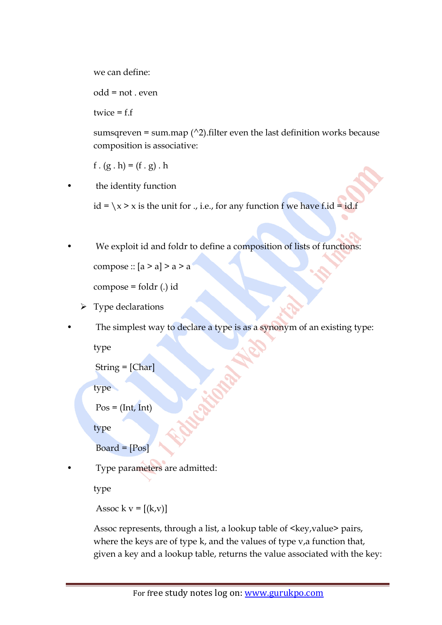we can define:

odd = not . even

 $twice = ff$ 

sumsqreven = sum.map  $(2)$ .filter even the last definition works because composition is associative:

f .  $(g h) = (f g) h$ 

the identity function

 $id = \{x > x \text{ is the unit for } ., \text{ i.e., for any function } f \text{ we have } f \text{.} id = id \text{.} f$ 

We exploit id and foldr to define a composition of lists of functions:

compose ::  $[a > a] > a > a$ 

compose = foldr (.) id

 $\triangleright$  Type declarations

The simplest way to declare a type is as a synonym of an existing type:

type

String = [Char]

type

```
Pos = (Int, Int)
```
type

 $Board = [Pos]$ 

• Type parameters are admitted:

type

Assoc k  $v = [(k,v)]$ 

Assoc represents, through a list, a lookup table of <key, value> pairs, where the keys are of type k, and the values of type v,a function that, given a key and a lookup table, returns the value associated with the key: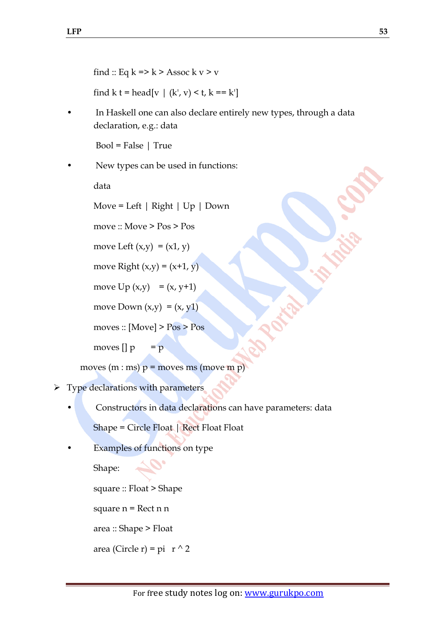find :: Eq  $k \geq k$  > Assoc k v > v

find k t = head[v | (k', v) < t, k == k']

• In Haskell one can also declare entirely new types, through a data declaration, e.g.: data

 $Bool = False \mid True$ 

New types can be used in functions:

data

Move = Left | Right | Up | Down

move :: Move > Pos > Pos

move Left  $(x,y) = (x1, y)$ 

move Right  $(x,y) = (x+1, y)$ 

move  $Up(x,y) = (x, y+1)$ 

move Down  $(x,y) = (x, y1)$ 

moves :: [Move] > Pos > Pos

moves  $\begin{bmatrix} p \\ p \end{bmatrix}$  = p

moves  $(m : ms)$   $p = moves ms (move m p)$ 

 $\triangleright$  Type declarations with parameters

• Constructors in data declarations can have parameters: data

Shape = Circle Float | Rect Float Float

Examples of functions on type

Shape:

square :: Float > Shape

square  $n =$  Rect  $n n$ 

area :: Shape > Float

area (Circle r) = pi  $r \wedge 2$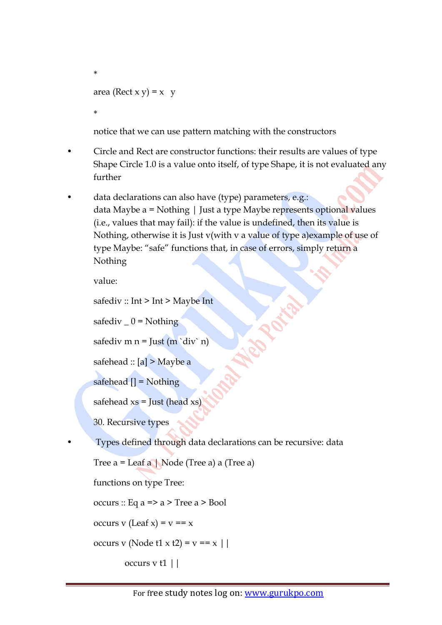```
area (Rect x y) = x \, y
```
∗

∗

notice that we can use pattern matching with the constructors

- Circle and Rect are constructor functions: their results are values of type Shape Circle 1.0 is a value onto itself, of type Shape, it is not evaluated any further
- data declarations can also have (type) parameters, e.g.: data Maybe a = Nothing | Just a type Maybe represents optional values (i.e., values that may fail): if the value is undefined, then its value is Nothing, otherwise it is Just v(with v a value of type a) example of use of type Maybe: "safe" functions that, in case of errors, simply return a Nothing

value:

safediv :: Int > Int > Maybe Int

safediv  $_0$  = Nothing

safediv m  $n =$  Just (m `div` n)

```
safehead :: [a] > Maybe a
```

```
safehead [] = \text{Nothing}
```
safehead  $xs =$  Just (head  $xs$ )

30. Recursive types

• Types defined through data declarations can be recursive: data

Tree a = Leaf a | Node (Tree a) a (Tree a)

functions on type Tree:

occurs :: Eq a => a > Tree a > Bool

occurs v (Leaf  $x$ ) =  $y == x$ 

occurs v (Node t1 x t2) =  $v = x$  ||

occurs v t1 ||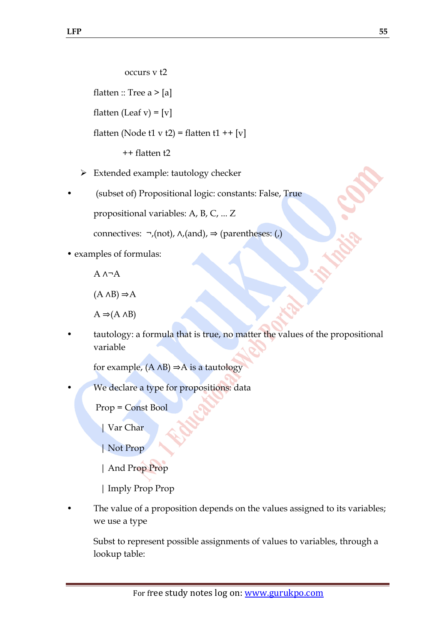#### occurs v t2

flatten :: Tree a  $>$  [a]

flatten (Leaf v) =  $[v]$ 

flatten (Node t1 v t2) = flatten t1 + +  $[v]$ 

++ flatten t2

- $\triangleright$  Extended example: tautology checker
- (subset of) Propositional logic: constants: False, True

propositional variables: A, B, C, ... Z

connectives: ¬,(not),  $\land$ ,(and),  $\Rightarrow$  (parentheses: (,)

• examples of formulas:

 $A \wedge \neg A$ 

$$
(A \land B) \Rightarrow A
$$

 $A \Rightarrow (A \land B)$ 

tautology: a formula that is true, no matter the values of the propositional variable

for example,  $(A \wedge B) \Rightarrow A$  is a tautology

We declare a type for propositions: data

Prop = Const Bool

| Var Char

| Not Prop

| And Prop Prop

- | Imply Prop Prop
- The value of a proposition depends on the values assigned to its variables; we use a type

Subst to represent possible assignments of values to variables, through a lookup table: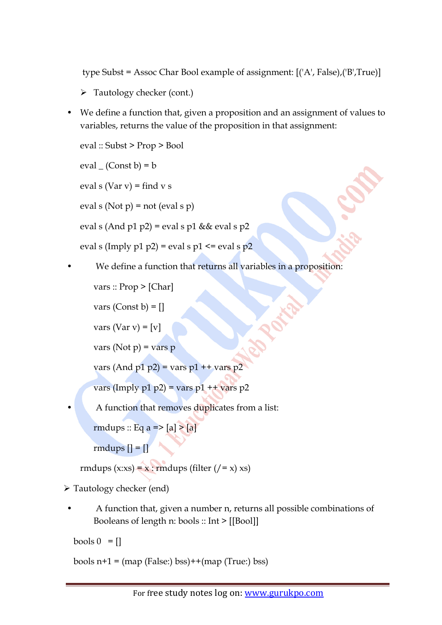type Subst = Assoc Char Bool example of assignment: [('A', False),('B',True)]

- > Tautology checker (cont.)
- We define a function that, given a proposition and an assignment of values to variables, returns the value of the proposition in that assignment:

eval :: Subst > Prop > Bool

eval  $(Const b) = b$ 

eval s (Var  $v$ ) = find  $v$  s

eval s (Not  $p$ ) = not (eval s  $p$ )

eval s (And  $p1 p2$ ) = eval s  $p1$  & & eval s  $p2$ 

eval s (Imply  $p1 p2$ ) = eval s  $p1 \le$  eval s  $p2$ 

We define a function that returns all variables in a proposition:

vars :: Prop > [Char]

vars  $(Const b) = []$ 

vars (Var  $v$ ) = [v]

vars (Not  $p$ ) = vars  $p$ 

vars (And  $p1 p2$ ) = vars  $p1$  ++ vars  $p2$ 

vars (Imply  $p1 p2$ ) = vars  $p1$  ++ vars  $p2$ 

• A function that removes duplicates from a list:

rmdups :: Eq a => [a] > [a]

rmdups  $[] = []$ 

rmdups  $(x:xs) = x :$ rmdups (filter  $(2-x)$ xs)

Tautology checker (end)

• A function that, given a number n, returns all possible combinations of Booleans of length n: bools :: Int > [[Bool]]

```
bools 0 = \lceil \rceil
```
bools  $n+1$  = (map (False:) bss)++(map (True:) bss)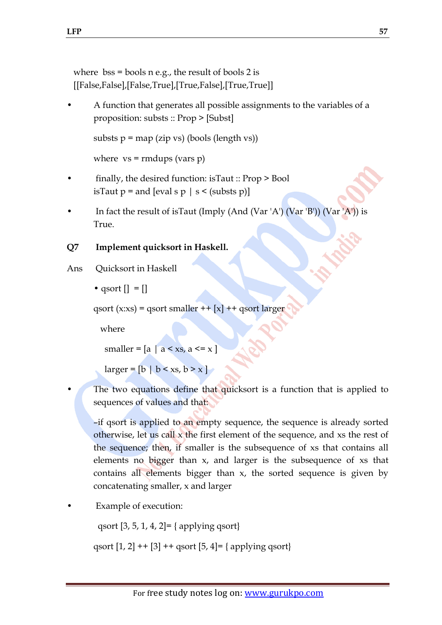```
where bss = bools n e.g., the result of bools 2 is
[[False,False],[False,True],[True,False],[True,True]]
```
• A function that generates all possible assignments to the variables of a proposition: substs :: Prop > [Subst]

substs  $p = map (zip vs) (books (length vs))$ 

where  $vs =$  rmdups (vars  $p$ )

- finally, the desired function: is Taut  $::$  Prop  $>$  Bool isTaut  $p =$  and [eval s  $p | s <$  (substs p)]
- In fact the result of isTaut (Imply (And (Var 'A') (Var 'B')) (Var 'A')) is True.

## **Q7 Implement quicksort in Haskell.**

- Ans Quicksort in Haskell
	- qsort  $| \cdot |$  =  $| \cdot |$

qsort (x:xs) = qsort smaller ++  $[x]$  ++ qsort larger

where

smaller =  $[a \mid a < xs, a < x]$ 

 $larger = [b \mid b < xs, b > x]$ 

The two equations define that quicksort is a function that is applied to sequences of values and that:

–if qsort is applied to an empty sequence, the sequence is already sorted otherwise, let us call  $x$  the first element of the sequence, and  $xs$  the rest of the sequence; then, if smaller is the subsequence of xs that contains all elements no bigger than x, and larger is the subsequence of xs that contains all elements bigger than x, the sorted sequence is given by concatenating smaller, x and larger

Example of execution:

qsort  $[3, 5, 1, 4, 2] = \{$  applying qsort $\}$ 

```
qsort [1, 2] ++ [3] ++ qsort [5, 4]= { applying qsort}
```